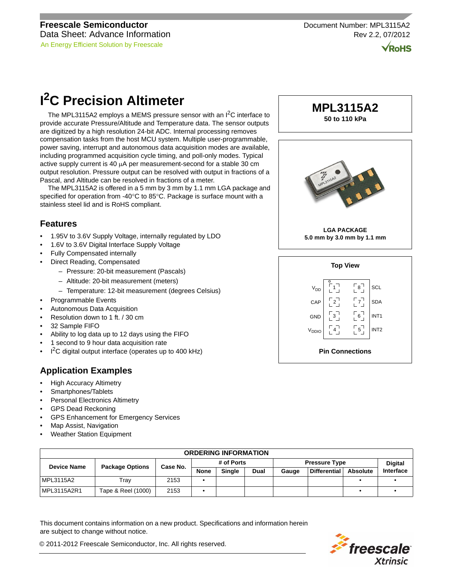$\sqrt{\textsf{RoHS}}$ 

# **I 2C Precision Altimeter**

The MPL3115A2 employs a MEMS pressure sensor with an I<sup>2</sup>C interface to provide accurate Pressure/Altitude and Temperature data. The sensor outputs are digitized by a high resolution 24-bit ADC. Internal processing removes compensation tasks from the host MCU system. Multiple user-programmable, power saving, interrupt and autonomous data acquisition modes are available, including programmed acquisition cycle timing, and poll-only modes. Typical active supply current is 40  $\mu$ A per measurement-second for a stable 30 cm output resolution. Pressure output can be resolved with output in fractions of a Pascal, and Altitude can be resolved in fractions of a meter.

The MPL3115A2 is offered in a 5 mm by 3 mm by 1.1 mm LGA package and specified for operation from -40°C to 85°C. Package is surface mount with a stainless steel lid and is RoHS compliant.

# **Features**

- 1.95V to 3.6V Supply Voltage, internally regulated by LDO
- 1.6V to 3.6V Digital Interface Supply Voltage
- Fully Compensated internally
- Direct Reading, Compensated
	- Pressure: 20-bit measurement (Pascals)
	- Altitude: 20-bit measurement (meters)
	- Temperature: 12-bit measurement (degrees Celsius)
- Programmable Events
- Autonomous Data Acquisition
- Resolution down to 1 ft. / 30 cm
- 32 Sample FIFO
- Ability to log data up to 12 days using the FIFO
- 1 second to 9 hour data acquisition rate
- $\cdot$  I<sup>2</sup>C digital output interface (operates up to 400 kHz)

# **Application Examples**

- High Accuracy Altimetry
- Smartphones/Tablets
- Personal Electronics Altimetry
- GPS Dead Reckoning
- GPS Enhancement for Emergency Services
- Map Assist, Navigation
- Weather Station Equipment



**MPL3115A2**



| <b>ORDERING INFORMATION</b> |                        |          |             |               |      |                      |                     |          |                |
|-----------------------------|------------------------|----------|-------------|---------------|------|----------------------|---------------------|----------|----------------|
| <b>Device Name</b>          | <b>Package Options</b> | Case No. | # of Ports  |               |      | <b>Pressure Type</b> |                     |          | <b>Digital</b> |
|                             |                        |          | <b>None</b> | <b>Single</b> | Dual | Gauge                | <b>Differential</b> | Absolute | Interface      |
| MPL3115A2                   | Trav                   | 2153     |             |               |      |                      |                     |          |                |
| MPL3115A2R1                 | Tape & Reel (1000)     | 2153     |             |               |      |                      |                     |          |                |

This document contains information on a new product. Specifications and information herein are subject to change without notice.

© 2011-2012 Freescale Semiconductor, Inc. All rights reserved.

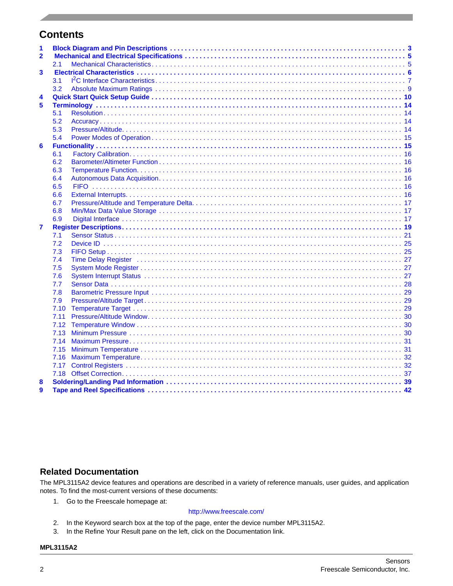# **Contents**

| 1<br>$\overline{2}$ |      |  |
|---------------------|------|--|
|                     |      |  |
|                     | 2.1  |  |
| 3                   |      |  |
|                     | 3.1  |  |
|                     | 3.2  |  |
| 4                   |      |  |
| 5                   |      |  |
|                     | 5.1  |  |
|                     | 5.2  |  |
|                     | 5.3  |  |
|                     | 5.4  |  |
| 6                   |      |  |
|                     | 6.1  |  |
|                     | 6.2  |  |
|                     | 6.3  |  |
|                     | 6.4  |  |
|                     | 6.5  |  |
|                     | 6.6  |  |
|                     | 6.7  |  |
|                     | 6.8  |  |
|                     | 6.9  |  |
| $\overline{7}$      |      |  |
|                     | 7.1  |  |
|                     | 7.2  |  |
|                     | 7.3  |  |
|                     | 7.4  |  |
|                     | 7.5  |  |
|                     | 7.6  |  |
|                     | 7.7  |  |
|                     | 7.8  |  |
|                     | 7.9  |  |
|                     | 7.10 |  |
|                     | 7.11 |  |
|                     | 7.12 |  |
|                     | 7.13 |  |
|                     | 7.14 |  |
|                     | 7.15 |  |
|                     | 7.16 |  |
|                     |      |  |
|                     |      |  |
| 8                   |      |  |
| 9                   |      |  |

# **Related Documentation**

The MPL3115A2 device features and operations are described in a variety of reference manuals, user guides, and application notes. To find the most-current versions of these documents:

1. Go to the Freescale homepage at:

#### <http://www.freescale.com/>

- 2. In the Keyword search box at the top of the page, enter the device number MPL3115A2.
- 3. In the Refine Your Result pane on the left, click on the Documentation link.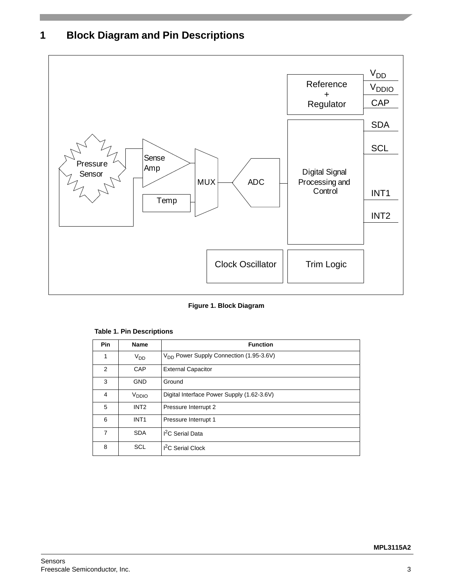# <span id="page-2-0"></span>**1 Block Diagram and Pin Descriptions**



**Figure 1. Block Diagram**

| Pin            | <b>Name</b>       | <b>Function</b>                                     |
|----------------|-------------------|-----------------------------------------------------|
| 1              | V <sub>DD</sub>   | V <sub>DD</sub> Power Supply Connection (1.95-3.6V) |
| 2              | CAP               | <b>External Capacitor</b>                           |
| 3              | <b>GND</b>        | Ground                                              |
| $\overline{4}$ | V <sub>DDIO</sub> | Digital Interface Power Supply (1.62-3.6V)          |
| 5              | INT <sub>2</sub>  | Pressure Interrupt 2                                |
| 6              | INT <sub>1</sub>  | Pressure Interrupt 1                                |
| 7              | <b>SDA</b>        | <sup>2</sup> C Serial Data                          |
| 8              | SCL               | <sup>2</sup> C Serial Clock                         |

## **Table 1. Pin Descriptions**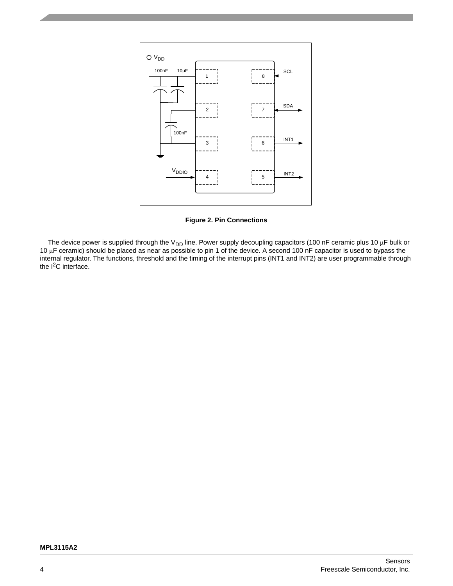

**Figure 2. Pin Connections**

The device power is supplied through the V<sub>DD</sub> line. Power supply decoupling capacitors (100 nF ceramic plus 10 µF bulk or 10  $\mu$ F ceramic) should be placed as near as possible to pin 1 of the device. A second 100 nF capacitor is used to bypass the internal regulator. The functions, threshold and the timing of the interrupt pins (INT1 and INT2) are user programmable through the  $I^2C$  interface.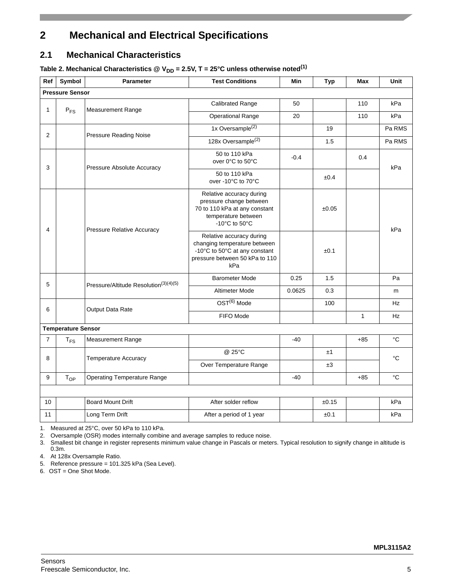# <span id="page-4-0"></span>**2 Mechanical and Electrical Specifications**

# <span id="page-4-1"></span>**2.1 Mechanical Characteristics**

Table 2. Mechanical Characteristics  $\textcircled{Q}$  V<sub>DD</sub> = 2.5V, T = 25°C unless otherwise noted<sup>(1)</sup>

| Ref            | Symbol                    | <b>Parameter</b>                                  | <b>Test Conditions</b>                                                                                                             | Min    | <b>Typ</b> | Max          | Unit              |
|----------------|---------------------------|---------------------------------------------------|------------------------------------------------------------------------------------------------------------------------------------|--------|------------|--------------|-------------------|
|                | <b>Pressure Sensor</b>    |                                                   |                                                                                                                                    |        |            |              |                   |
| 1              | $P_{FS}$                  | <b>Measurement Range</b>                          | Calibrated Range                                                                                                                   | 50     |            | 110          | kPa               |
|                |                           |                                                   | <b>Operational Range</b>                                                                                                           | 20     |            | 110          | kPa               |
| $\overline{2}$ |                           | <b>Pressure Reading Noise</b>                     | 1x Oversample <sup>(2)</sup>                                                                                                       |        | 19         |              | Pa RMS            |
|                |                           |                                                   | 128x Oversample <sup>(2)</sup>                                                                                                     |        | 1.5        |              | Pa RMS            |
| 3              |                           | Pressure Absolute Accuracy                        | 50 to 110 kPa<br>over 0°C to 50°C                                                                                                  | $-0.4$ |            | 0.4          | kPa               |
|                |                           |                                                   | 50 to 110 kPa<br>over -10°C to 70°C                                                                                                |        | ±0.4       |              |                   |
|                |                           | <b>Pressure Relative Accuracy</b>                 | Relative accuracy during<br>pressure change between<br>70 to 110 kPa at any constant<br>temperature between<br>-10°C to 50°C       |        | ±0.05      |              | kPa               |
| 4              |                           |                                                   | Relative accuracy during<br>changing temperature between<br>-10°C to 50°C at any constant<br>pressure between 50 kPa to 110<br>kPa |        | ±0.1       |              |                   |
| 5              |                           |                                                   | <b>Barometer Mode</b>                                                                                                              | 0.25   | 1.5        |              | Pa                |
|                |                           | Pressure/Altitude Resolution <sup>(3)(4)(5)</sup> | Altimeter Mode                                                                                                                     | 0.0625 | 0.3        |              | m                 |
| 6              |                           |                                                   | OST <sup>(6)</sup> Mode                                                                                                            |        | 100        |              | Hz                |
|                |                           | Output Data Rate                                  | FIFO Mode                                                                                                                          |        |            | $\mathbf{1}$ | Hz                |
|                | <b>Temperature Sensor</b> |                                                   |                                                                                                                                    |        |            |              |                   |
| $\overline{7}$ | $T_{FS}$                  | Measurement Range                                 |                                                                                                                                    | $-40$  |            | $+85$        | $^{\circ}{\rm C}$ |
| 8              |                           | <b>Temperature Accuracy</b>                       | @ 25°C                                                                                                                             |        | ±1         |              | °C                |
|                |                           |                                                   | Over Temperature Range                                                                                                             |        | ±3         |              |                   |
| 9              | $T_{OP}$                  | <b>Operating Temperature Range</b>                |                                                                                                                                    | $-40$  |            | $+85$        | $^{\circ}{\rm C}$ |
|                |                           |                                                   |                                                                                                                                    |        |            |              |                   |
| 10             |                           | <b>Board Mount Drift</b>                          | After solder reflow                                                                                                                |        | ±0.15      |              | kPa               |
| 11             |                           | Long Term Drift                                   | After a period of 1 year                                                                                                           |        | ±0.1       |              | kPa               |

1. Measured at 25°C, over 50 kPa to 110 kPa.

2. Oversample (OSR) modes internally combine and average samples to reduce noise.

3. Smallest bit change in register represents minimum value change in Pascals or meters. Typical resolution to signify change in altitude is 0.3m.

4. At 128x Oversample Ratio.

5. Reference pressure = 101.325 kPa (Sea Level).

6. OST = One Shot Mode.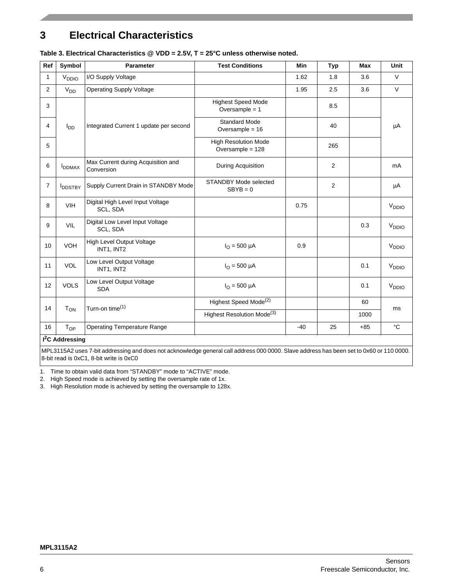# <span id="page-5-0"></span>**3 Electrical Characteristics**

| Ref            | Symbol                        | <b>Parameter</b>                                 | <b>Test Conditions</b>                          | Min   | Typ            | <b>Max</b> | <b>Unit</b>       |
|----------------|-------------------------------|--------------------------------------------------|-------------------------------------------------|-------|----------------|------------|-------------------|
| $\mathbf{1}$   | V <sub>DDIO</sub>             | I/O Supply Voltage                               |                                                 | 1.62  | 1.8            | 3.6        | $\vee$            |
| 2              | $V_{DD}$                      | <b>Operating Supply Voltage</b>                  |                                                 | 1.95  | 2.5            | 3.6        | $\vee$            |
| 3              |                               |                                                  | <b>Highest Speed Mode</b><br>Oversample $= 1$   |       | 8.5            |            |                   |
| 4              | $I_{DD}$                      | Integrated Current 1 update per second           | <b>Standard Mode</b><br>Oversample = $16$       |       | 40             |            | μA                |
| 5              |                               |                                                  | <b>High Resolution Mode</b><br>Oversample = 128 |       | 265            |            |                   |
| 6              | <b>I</b> DDMAX                | Max Current during Acquisition and<br>Conversion | During Acquisition                              |       | $\overline{2}$ |            | mA                |
| $\overline{7}$ | <b>IDDSTBY</b>                | Supply Current Drain in STANDBY Mode             | <b>STANDBY Mode selected</b><br>$SBYB = 0$      |       | 2              |            | μA                |
| 8              | <b>VIH</b>                    | Digital High Level Input Voltage<br>SCL, SDA     |                                                 | 0.75  |                |            | V <sub>DDIO</sub> |
| 9              | <b>VIL</b>                    | Digital Low Level Input Voltage<br>SCL, SDA      |                                                 |       |                | 0.3        | V <sub>DDIO</sub> |
| 10             | <b>VOH</b>                    | High Level Output Voltage<br>INT1, INT2          | $I_{\Omega} = 500 \mu A$                        | 0.9   |                |            | V <sub>DDIO</sub> |
| 11             | <b>VOL</b>                    | Low Level Output Voltage<br>INT1, INT2           | $I_{\Omega} = 500 \mu A$                        |       |                | 0.1        | V <sub>DDIO</sub> |
| 12             | <b>VOLS</b>                   | Low Level Output Voltage<br><b>SDA</b>           | $I_{\Omega} = 500 \mu A$                        |       |                | 0.1        | V <sub>DDIO</sub> |
| 14             |                               | Turn-on time <sup>(1)</sup>                      | Highest Speed Mode <sup>(2)</sup>               |       |                | 60         | <sub>ms</sub>     |
|                | $T_{ON}$                      |                                                  | Highest Resolution Mode <sup>(3)</sup>          |       |                | 1000       |                   |
| 16             | $T_{OP}$                      | <b>Operating Temperature Range</b>               |                                                 | $-40$ | 25             | $+85$      | °C                |
|                | $\overline{I^2}$ C Addressing |                                                  |                                                 |       |                |            |                   |

### **Table 3. Electrical Characteristics @ VDD = 2.5V, T = 25°C unless otherwise noted.**

8-bit read is 0xC1, 8-bit write is 0xC0

MPL3115A2 uses 7-bit addressing and does not acknowledge general call address 000 0000. Slave address has been set to 0x60 or 110 0000.

1. Time to obtain valid data from "STANDBY" mode to "ACTIVE" mode.

2. High Speed mode is achieved by setting the oversample rate of 1x.

3. High Resolution mode is achieved by setting the oversample to 128x.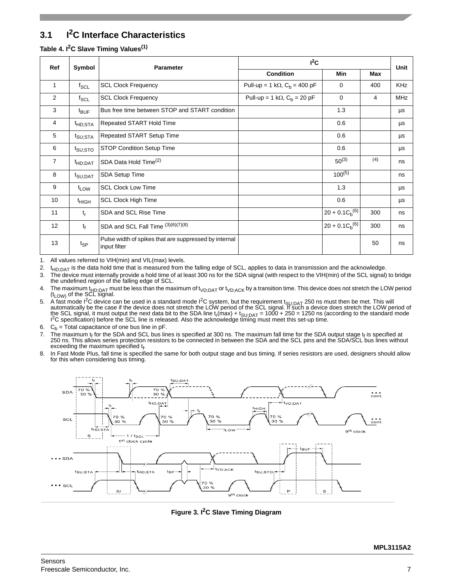# <span id="page-6-0"></span>**3.1 I2C Interface Characteristics**

## **Table 4. I2C Slave Timing Values(1)**

| Ref             | Symbol                         | <b>Parameter</b>                                                      | $I^2C$                                          |                      |     |            |  |
|-----------------|--------------------------------|-----------------------------------------------------------------------|-------------------------------------------------|----------------------|-----|------------|--|
|                 |                                |                                                                       | <b>Condition</b>                                | Min                  | Max | Unit       |  |
| 1               | $f_{\rm SCL}$                  | <b>SCL Clock Frequency</b>                                            | Pull-up = 1 k $\Omega$ , $C_b$ = 400 pF         | 0                    | 400 | <b>KHz</b> |  |
| 2               | $f_{SCL}$                      | <b>SCL Clock Frequency</b>                                            | Pull-up = 1 k $\Omega$ , C <sub>b</sub> = 20 pF | $\mathbf 0$          | 4   | <b>MHz</b> |  |
| 3               | $t_{\text{BUF}}$               | Bus free time between STOP and START condition                        |                                                 | 1.3                  |     | μs         |  |
| 4               | <sup>t</sup> HD;STA            | Repeated START Hold Time                                              |                                                 | 0.6                  |     | μs         |  |
| 5               | t <sub>SU;STA</sub>            | Repeated START Setup Time                                             |                                                 | 0.6                  |     | μs         |  |
| 6               | $t_{\mathsf{SU};\mathsf{STO}}$ | <b>STOP Condition Setup Time</b>                                      |                                                 | 0.6                  |     | μs         |  |
| $\overline{7}$  | <sup>t</sup> HD;DAT            | SDA Data Hold Time <sup>(2)</sup>                                     |                                                 | $50^{(3)}$           | (4) | ns         |  |
| 8               | t <sub>SU;DAT</sub>            | SDA Setup Time                                                        |                                                 | $100^{(5)}$          |     | ns         |  |
| 9               | t <sub>LOW</sub>               | <b>SCL Clock Low Time</b>                                             |                                                 | 1.3                  |     | μs         |  |
| 10 <sup>°</sup> | <sup>t</sup> HIGH              | <b>SCL Clock High Time</b>                                            |                                                 | 0.6                  |     | μs         |  |
| 11              | $t_r$                          | SDA and SCL Rise Time                                                 |                                                 | $20 + 0.1 C_h^{(6)}$ | 300 | ns         |  |
| 12              | $t_f$                          | SDA and SCL Fall Time (3)(6)(7)(8)                                    |                                                 | $20 + 0.1 C_b^{(6)}$ | 300 | ns         |  |
| 13              | $t_{SP}$                       | Pulse width of spikes that are suppressed by internal<br>input filter |                                                 |                      | 50  | ns         |  |

1. All values referred to VIH(min) and VIL(max) levels.

2.  $t_{HD;DATA}$  is the data hold time that is measured from the falling edge of SCL, applies to data in transmission and the acknowledge.<br>3. The device must internally provide a hold time of at least 300 ns for the SDA signal

- The device must internally provide a hold time of at least 300 ns for the SDA signal (with respect to the VIH(min) of the SCL signal) to bridge the undefined region of the falling edge of SCL.
- 4. The maximum t<sub>HD;DAT</sub> must be less than the maximum of t<sub>VD;DAT</sub> or t<sub>VD;ACK</sub> by a transition time. This device does not stretch the LOW period (t<sub>LOW)</sub> of the SCL signal.
- 5. A fast mode 1<sup>2</sup>C device can be used in a standard mode 1<sup>2</sup>C system, but the requirement t<sub>SU;DAT</sub> 250 ns must then be met. This will automatically be the case if the device does not stretch the LOW period of the SCL
- 6.  $C_b$  = Total capacitance of one bus line in pF.<br>7. The maximum t, for the SDA and SCI bus line
- 7. The maximum  $t_f$  for the SDA and SCL bus lines is specified at 300 ns. The maximum fall time for the SDA output stage  $t_f$  is specified at 250 ns. This allows series protection resistors to be connected in between the SDA and the SCL pins and the SDA/SCL bus lines without exceeding the maximum specified  $t_{\mathsf{f}}$ .
- 8. In Fast Mode Plus, fall time is specified the same for both output stage and bus timing. If series resistors are used, designers should allow for this when considering bus timing.



**Figure 3. I2C Slave Timing Diagram**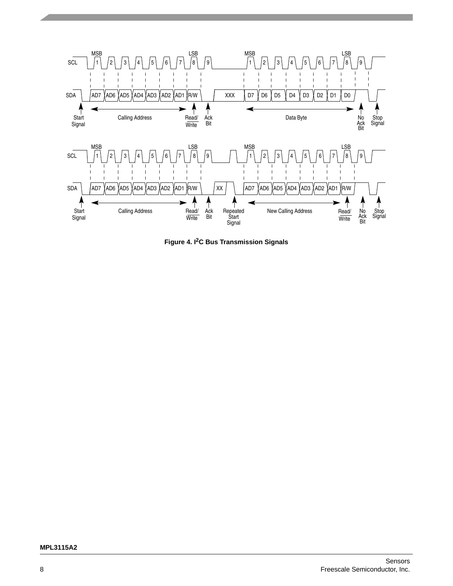

**Figure 4. I2C Bus Transmission Signals**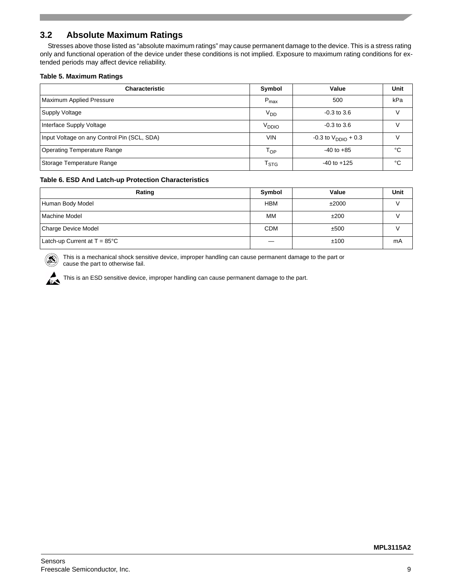# <span id="page-8-0"></span>**3.2 Absolute Maximum Ratings**

Stresses above those listed as "absolute maximum ratings" may cause permanent damage to the device. This is a stress rating only and functional operation of the device under these conditions is not implied. Exposure to maximum rating conditions for extended periods may affect device reliability.

#### **Table 5. Maximum Ratings**

| <b>Characteristic</b>                       | Symbol                      | Value                             | Unit   |
|---------------------------------------------|-----------------------------|-----------------------------------|--------|
| Maximum Applied Pressure                    | $P_{\text{max}}$            | 500                               | kPa    |
| <b>Supply Voltage</b>                       | V <sub>DD</sub>             | $-0.3$ to $3.6$                   | $\vee$ |
| Interface Supply Voltage                    | V <sub>DDIO</sub>           | $-0.3$ to 3.6                     | v      |
| Input Voltage on any Control Pin (SCL, SDA) | <b>VIN</b>                  | $-0.3$ to $V_{\text{DDIO}} + 0.3$ | V      |
| <b>Operating Temperature Range</b>          | Тор                         | $-40$ to $+85$                    | °C     |
| Storage Temperature Range                   | $\mathsf{T}_{\textsf{STG}}$ | $-40$ to $+125$                   | °C     |

#### **Table 6. ESD And Latch-up Protection Characteristics**

| Rating                                 | Symbol     | Value | Unit |
|----------------------------------------|------------|-------|------|
| Human Body Model                       | <b>HBM</b> | ±2000 |      |
| <b>Machine Model</b>                   | MМ         | ±200  |      |
| Charge Device Model                    | <b>CDM</b> | ±500  |      |
| Latch-up Current at $T = 85^{\circ}$ C |            | ±100  | mA   |

 $(\circledast)$ 

This is a mechanical shock sensitive device, improper handling can cause permanent damage to the part or cause the part to otherwise fail.

This is an ESD sensitive device, improper handling can cause permanent damage to the part.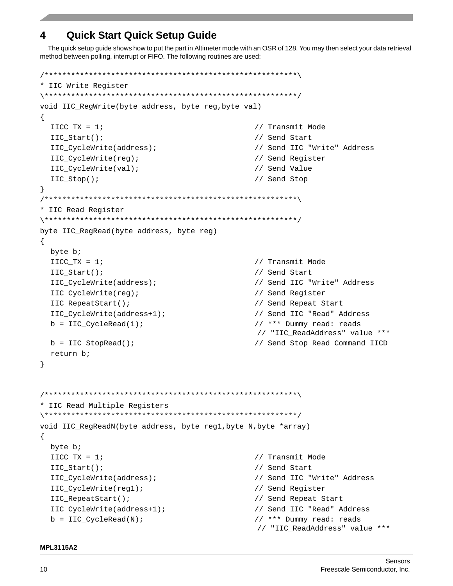# <span id="page-9-0"></span>**4 Quick Start Quick Setup Guide**

The quick setup guide shows how to put the part in Altimeter mode with an OSR of 128. You may then select your data retrieval method between polling, interrupt or FIFO. The following routines are used:

```
/*********************************************************\
* IIC Write Register
\*********************************************************/
void IIC_RegWrite(byte address, byte reg,byte val)
{
 IICC_TX = 1; // Transmit Mode
 IIC_Start(); // Send Start
 IIC_CycleWrite(address); // Send IIC "Write" Address
 IIC_CycleWrite(reg); // Send Register
 IIC_CycleWrite(val); // Send Value
 IIC_Stop(); // Send Stop
}
/*********************************************************\
* IIC Read Register
\*********************************************************/
byte IIC_RegRead(byte address, byte reg)
{
 byte b;
 IICC TX = 1; \sqrt{2} // Transmit Mode
 IIC_Start(); // Send Start
 IIC_CycleWrite(address); // Send IIC "Write" Address
 IIC_CycleWrite(reg); // Send Register
 IIC_RepeatStart(); // Send Repeat Start
 IIC_CycleWrite(address+1); // Send IIC "Read" Address
 b = IIC_CycleRead(1); // *** Dummy read: reads 
                                     // "IIC_ReadAddress" value ***
 b = IIC StopRead(); \frac{1}{2} // Send Stop Read Command IICD
 return b;
}
/*********************************************************\
* IIC Read Multiple Registers
\*********************************************************/
void IIC_RegReadN(byte address, byte reg1, byte N, byte *array)
{
 byte b;
 IICC TX = 1; \sqrt{2} // Transmit Mode
 IIC_Start(); // Send Start
 IIC_CycleWrite(address); // Send IIC "Write" Address
 IIC_CycleWrite(reg1); // Send Register
 IIC_RepeatStart(); // Send Repeat Start
 IIC_CycleWrite(address+1); // Send IIC "Read" Address
 b = IICCVcleRead(N); // *** Dummy read: reads
                                      // "IIC_ReadAddress" value ***
```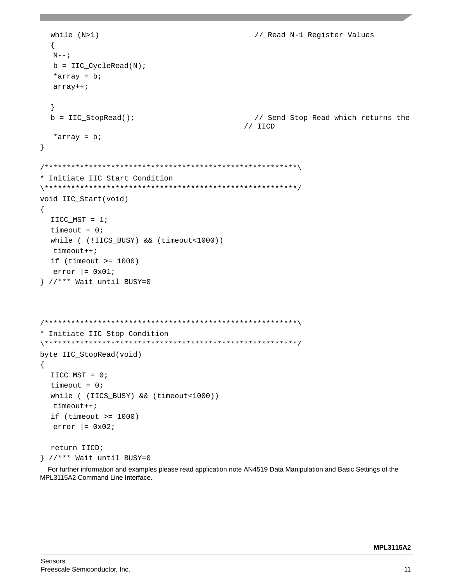```
while (N>1) \sqrt{} / Read N-1 Register Values
  {
  N--;b = IIC CycleRead(N);
  *array = b;
  array++;
  }
  b = IIC_StopRead(); // Send Stop Read which returns the
                                             // IICD
  *array = b; 
}
/*********************************************************\
* Initiate IIC Start Condition
\*********************************************************/
void IIC_Start(void)
{
  IICC_MST = 1;
  timeout = 0;while ( (!IICS_BUSY) && (timeout<1000))
  timeout++;
  if (timeout \ge 1000)error = 0x01;
} //*** Wait until BUSY=0
/*********************************************************\
* Initiate IIC Stop Condition
\*********************************************************/
byte IIC_StopRead(void)
{
  IICC_MST = 0;
  timeout = 0;
  while ( (IICS_BUSY) && (timeout<1000))
  timeout++;
  if (timeout >= 1000)
  error = 0x02;
  return IICD;
} //*** Wait until BUSY=0
```
For further information and examples please read application note AN4519 Data Manipulation and Basic Settings of the MPL3115A2 Command Line Interface.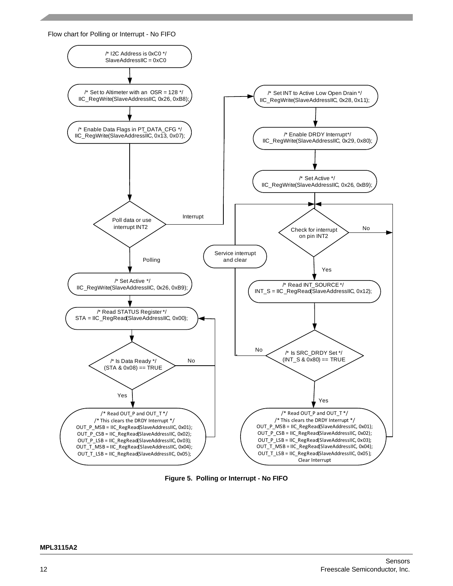



**Figure 5. Polling or Interrupt - No FIFO**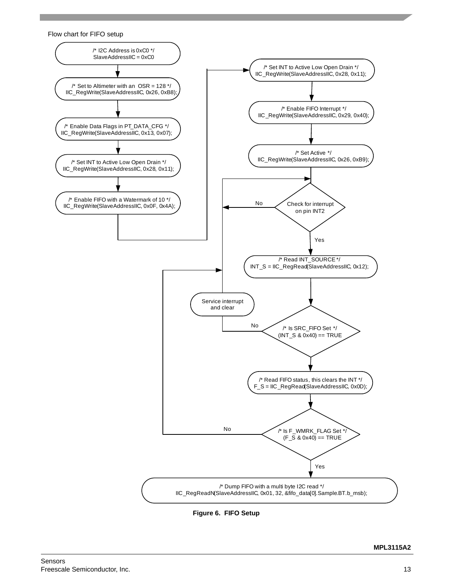

**Figure 6. FIFO Setup**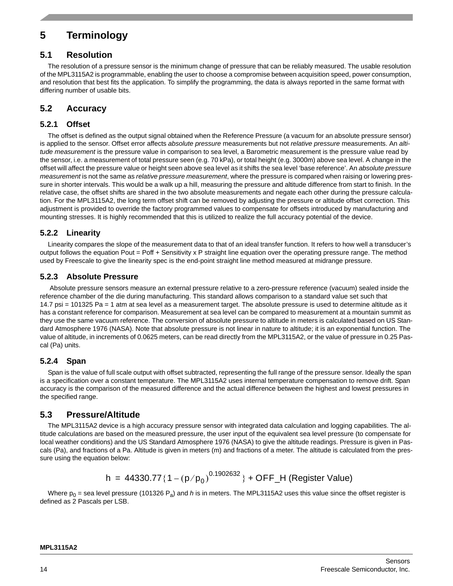# <span id="page-13-0"></span>**5 Terminology**

# <span id="page-13-1"></span>**5.1 Resolution**

The resolution of a pressure sensor is the minimum change of pressure that can be reliably measured. The usable resolution of the MPL3115A2 is programmable, enabling the user to choose a compromise between acquisition speed, power consumption, and resolution that best fits the application. To simplify the programming, the data is always reported in the same format with differing number of usable bits.

# <span id="page-13-2"></span>**5.2 Accuracy**

# **5.2.1 Offset**

The offset is defined as the output signal obtained when the Reference Pressure (a vacuum for an absolute pressure sensor) is applied to the sensor. Offset error affects *absolute pressure* measurements but not *relative pressure* measurements. An *altitude measurement* is the pressure value in comparison to sea level, a Barometric measurement is the pressure value read by the sensor, i.e. a measurement of total pressure seen (e.g. 70 kPa), or total height (e.g. 3000m) above sea level. A change in the offset will affect the pressure value or height seen above sea level as it shifts the sea level 'base reference'. An *absolute pressure measurement* is not the same as *relative pressure measurement*, where the pressure is compared when raising or lowering pressure in shorter intervals. This would be a walk up a hill, measuring the pressure and altitude difference from start to finish. In the relative case, the offset shifts are shared in the two absolute measurements and negate each other during the pressure calculation. For the MPL3115A2, the long term offset shift can be removed by adjusting the pressure or altitude offset correction. This adjustment is provided to override the factory programmed values to compensate for offsets introduced by manufacturing and mounting stresses. It is highly recommended that this is utilized to realize the full accuracy potential of the device.

# **5.2.2 Linearity**

Linearity compares the slope of the measurement data to that of an ideal transfer function. It refers to how well a transducer's output follows the equation Pout = Poff + Sensitivity x P straight line equation over the operating pressure range. The method used by Freescale to give the linearity spec is the end-point straight line method measured at midrange pressure.

# **5.2.3 Absolute Pressure**

 Absolute pressure sensors measure an external pressure relative to a zero-pressure reference (vacuum) sealed inside the reference chamber of the die during manufacturing. This standard allows comparison to a standard value set such that 14.7 psi = 101325 Pa = 1 atm at sea level as a measurement target. The absolute pressure is used to determine altitude as it has a constant reference for comparison. Measurement at sea level can be compared to measurement at a mountain summit as they use the same vacuum reference. The conversion of absolute pressure to altitude in meters is calculated based on US Standard Atmosphere 1976 (NASA). Note that absolute pressure is not linear in nature to altitude; it is an exponential function. The value of altitude, in increments of 0.0625 meters, can be read directly from the MPL3115A2, or the value of pressure in 0.25 Pascal (Pa) units.

# **5.2.4 Span**

Span is the value of full scale output with offset subtracted, representing the full range of the pressure sensor. Ideally the span is a specification over a constant temperature. The MPL3115A2 uses internal temperature compensation to remove drift. Span accuracy is the comparison of the measured difference and the actual difference between the highest and lowest pressures in the specified range.

# <span id="page-13-3"></span>**5.3 Pressure/Altitude**

The MPL3115A2 device is a high accuracy pressure sensor with integrated data calculation and logging capabilities. The altitude calculations are based on the measured pressure, the user input of the equivalent sea level pressure (to compensate for local weather conditions) and the US Standard Atmosphere 1976 (NASA) to give the altitude readings. Pressure is given in Pascals (Pa), and fractions of a Pa. Altitude is given in meters (m) and fractions of a meter. The altitude is calculated from the pressure using the equation below:

h = 
$$
44330.77\{1 - (p/p_0)^{0.1902632}\} + \text{OFF_H}
$$
 (Register Value)

Where  $p_0$  = sea level pressure (101326 P<sub>a</sub>) and *h* is in meters. The MPL3115A2 uses this value since the offset register is defined as 2 Pascals per LSB.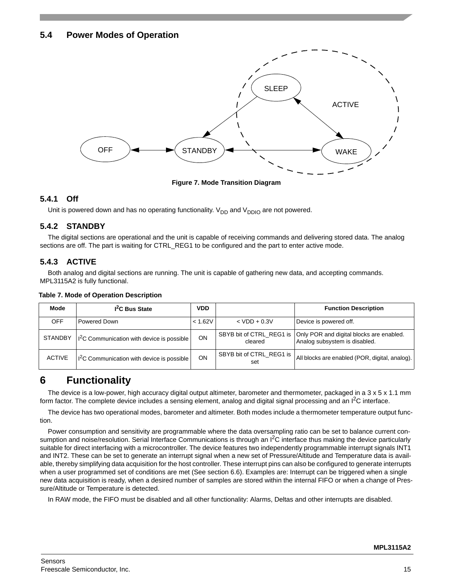# <span id="page-14-0"></span>**5.4 Power Modes of Operation**



**Figure 7. Mode Transition Diagram**

# **5.4.1 Off**

Unit is powered down and has no operating functionality.  $V_{DD}$  and  $V_{DDIO}$  are not powered.

# **5.4.2 STANDBY**

The digital sections are operational and the unit is capable of receiving commands and delivering stored data. The analog sections are off. The part is waiting for CTRL\_REG1 to be configured and the part to enter active mode.

# **5.4.3 ACTIVE**

Both analog and digital sections are running. The unit is capable of gathering new data, and accepting commands. MPL3115A2 is fully functional.

| Mode           | I <sup>2</sup> C Bus State                             | VDD     |                                 | <b>Function Description</b>                                                                          |
|----------------|--------------------------------------------------------|---------|---------------------------------|------------------------------------------------------------------------------------------------------|
| OFF            | Powered Down                                           | < 1.62V | $<$ VDD + 0.3V                  | Device is powered off.                                                                               |
| <b>STANDBY</b> | $ 1^2C$ Communication with device is possible          | ON      | cleared                         | SBYB bit of CTRL_REG1 is   Only POR and digital blocks are enabled.<br>Analog subsystem is disabled. |
| <b>ACTIVE</b>  | $\frac{12}{2}$ C Communication with device is possible | ON      | SBYB bit of CTRL REG1 is<br>set | All blocks are enabled (POR, digital, analog).                                                       |

#### **Table 7. Mode of Operation Description**

# <span id="page-14-1"></span>**6 Functionality**

The device is a low-power, high accuracy digital output altimeter, barometer and thermometer, packaged in a 3 x 5 x 1.1 mm form factor. The complete device includes a sensing element, analog and digital signal processing and an  ${}^{12}C$  interface.

The device has two operational modes, barometer and altimeter. Both modes include a thermometer temperature output function.

Power consumption and sensitivity are programmable where the data oversampling ratio can be set to balance current consumption and noise/resolution. Serial Interface Communications is through an  $l^2C$  interface thus making the device particularly suitable for direct interfacing with a microcontroller. The device features two independently programmable interrupt signals INT1 and INT2. These can be set to generate an interrupt signal when a new set of Pressure/Altitude and Temperature data is available, thereby simplifying data acquisition for the host controller. These interrupt pins can also be configured to generate interrupts when a user programmed set of conditions are met (See section 6.6). Examples are: Interrupt can be triggered when a single new data acquisition is ready, when a desired number of samples are stored within the internal FIFO or when a change of Pressure/Altitude or Temperature is detected.

In RAW mode, the FIFO must be disabled and all other functionality: Alarms, Deltas and other interrupts are disabled.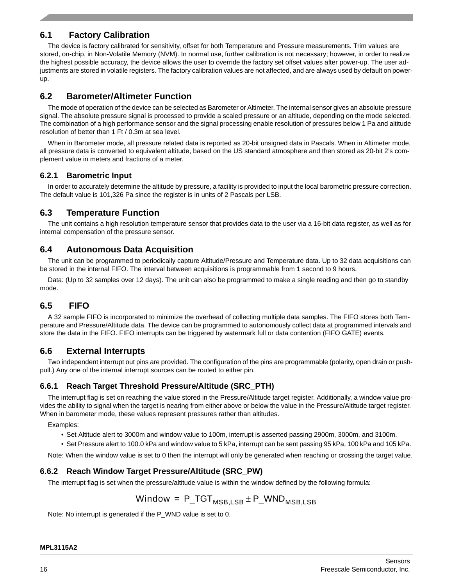# <span id="page-15-0"></span>**6.1 Factory Calibration**

The device is factory calibrated for sensitivity, offset for both Temperature and Pressure measurements. Trim values are stored, on-chip, in Non-Volatile Memory (NVM). In normal use, further calibration is not necessary; however, in order to realize the highest possible accuracy, the device allows the user to override the factory set offset values after power-up. The user adjustments are stored in volatile registers. The factory calibration values are not affected, and are always used by default on powerup.

# <span id="page-15-1"></span>**6.2 Barometer/Altimeter Function**

The mode of operation of the device can be selected as Barometer or Altimeter. The internal sensor gives an absolute pressure signal. The absolute pressure signal is processed to provide a scaled pressure or an altitude, depending on the mode selected. The combination of a high performance sensor and the signal processing enable resolution of pressures below 1 Pa and altitude resolution of better than 1 Ft / 0.3m at sea level.

When in Barometer mode, all pressure related data is reported as 20-bit unsigned data in Pascals. When in Altimeter mode, all pressure data is converted to equivalent altitude, based on the US standard atmosphere and then stored as 20-bit 2's complement value in meters and fractions of a meter.

# **6.2.1 Barometric Input**

In order to accurately determine the altitude by pressure, a facility is provided to input the local barometric pressure correction. The default value is 101,326 Pa since the register is in units of 2 Pascals per LSB.

# <span id="page-15-2"></span>**6.3 Temperature Function**

The unit contains a high resolution temperature sensor that provides data to the user via a 16-bit data register, as well as for internal compensation of the pressure sensor.

# <span id="page-15-3"></span>**6.4 Autonomous Data Acquisition**

The unit can be programmed to periodically capture Altitude/Pressure and Temperature data. Up to 32 data acquisitions can be stored in the internal FIFO. The interval between acquisitions is programmable from 1 second to 9 hours.

Data: (Up to 32 samples over 12 days). The unit can also be programmed to make a single reading and then go to standby mode.

# <span id="page-15-4"></span>**6.5 FIFO**

A 32 sample FIFO is incorporated to minimize the overhead of collecting multiple data samples. The FIFO stores both Temperature and Pressure/Altitude data. The device can be programmed to autonomously collect data at programmed intervals and store the data in the FIFO. FIFO interrupts can be triggered by watermark full or data contention (FIFO GATE) events.

# <span id="page-15-5"></span>**6.6 External Interrupts**

Two independent interrupt out pins are provided. The configuration of the pins are programmable (polarity, open drain or pushpull.) Any one of the internal interrupt sources can be routed to either pin.

# **6.6.1 Reach Target Threshold Pressure/Altitude (SRC\_PTH)**

The interrupt flag is set on reaching the value stored in the Pressure/Altitude target register. Additionally, a window value provides the ability to signal when the target is nearing from either above or below the value in the Pressure/Altitude target register. When in barometer mode, these values represent pressures rather than altitudes.

Examples:

- Set Altitude alert to 3000m and window value to 100m, interrupt is asserted passing 2900m, 3000m, and 3100m.
- Set Pressure alert to 100.0 kPa and window value to 5 kPa, interrupt can be sent passing 95 kPa, 100 kPa and 105 kPa.

Note: When the window value is set to 0 then the interrupt will only be generated when reaching or crossing the target value.

# **6.6.2 Reach Window Target Pressure/Altitude (SRC\_PW)**

The interrupt flag is set when the pressure/altitude value is within the window defined by the following formula:

$$
Window = P_TGT_{MSB,LSB} \pm P_WND_{MSB,LSB}
$$

Note: No interrupt is generated if the P\_WND value is set to 0.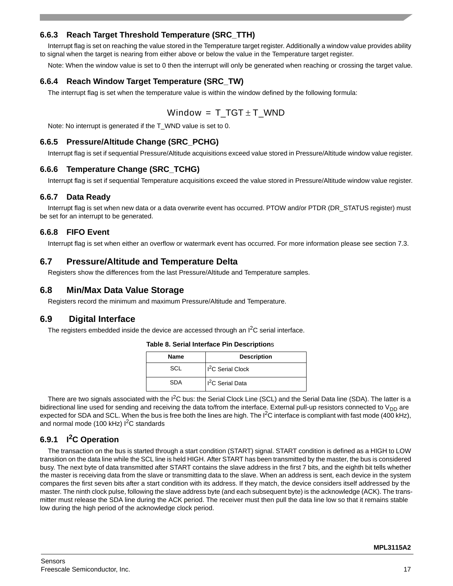# **6.6.3 Reach Target Threshold Temperature (SRC\_TTH)**

Interrupt flag is set on reaching the value stored in the Temperature target register. Additionally a window value provides ability to signal when the target is nearing from either above or below the value in the Temperature target register.

Note: When the window value is set to 0 then the interrupt will only be generated when reaching or crossing the target value.

## **6.6.4 Reach Window Target Temperature (SRC\_TW)**

The interrupt flag is set when the temperature value is within the window defined by the following formula:

$$
\text{Window} = T_TGT \pm T\_WND
$$

Note: No interrupt is generated if the T\_WND value is set to 0.

## **6.6.5 Pressure/Altitude Change (SRC\_PCHG)**

Interrupt flag is set if sequential Pressure/Altitude acquisitions exceed value stored in Pressure/Altitude window value register.

# **6.6.6 Temperature Change (SRC\_TCHG)**

Interrupt flag is set if sequential Temperature acquisitions exceed the value stored in Pressure/Altitude window value register.

## **6.6.7 Data Ready**

Interrupt flag is set when new data or a data overwrite event has occurred. PTOW and/or PTDR (DR\_STATUS register) must be set for an interrupt to be generated.

## **6.6.8 FIFO Event**

Interrupt flag is set when either an overflow or watermark event has occurred. For more information please see section 7.3.

# <span id="page-16-0"></span>**6.7 Pressure/Altitude and Temperature Delta**

Registers show the differences from the last Pressure/Altitude and Temperature samples.

# <span id="page-16-1"></span>**6.8 Min/Max Data Value Storage**

Registers record the minimum and maximum Pressure/Altitude and Temperature.

# <span id="page-16-2"></span>**6.9 Digital Interface**

The registers embedded inside the device are accessed through an  $I^2C$  serial interface.

#### **Table 8. Serial Interface Pin Description**s

| <b>Name</b> | <b>Description</b>            |
|-------------|-------------------------------|
| SCL         | 1 <sup>2</sup> C Serial Clock |
| SDA         | Il <sup>2</sup> C Serial Data |

There are two signals associated with the I<sup>2</sup>C bus: the Serial Clock Line (SCL) and the Serial Data line (SDA). The latter is a bidirectional line used for sending and receiving the data to/from the interface. External pull-up resistors connected to  $V_{DD}$  are expected for SDA and SCL. When the bus is free both the lines are high. The  $I^2C$  interface is compliant with fast mode (400 kHz), and normal mode (100 kHz)  $I^2C$  standards

# **6.9.1 I2C Operation**

The transaction on the bus is started through a start condition (START) signal. START condition is defined as a HIGH to LOW transition on the data line while the SCL line is held HIGH. After START has been transmitted by the master, the bus is considered busy. The next byte of data transmitted after START contains the slave address in the first 7 bits, and the eighth bit tells whether the master is receiving data from the slave or transmitting data to the slave. When an address is sent, each device in the system compares the first seven bits after a start condition with its address. If they match, the device considers itself addressed by the master. The ninth clock pulse, following the slave address byte (and each subsequent byte) is the acknowledge (ACK). The transmitter must release the SDA line during the ACK period. The receiver must then pull the data line low so that it remains stable low during the high period of the acknowledge clock period.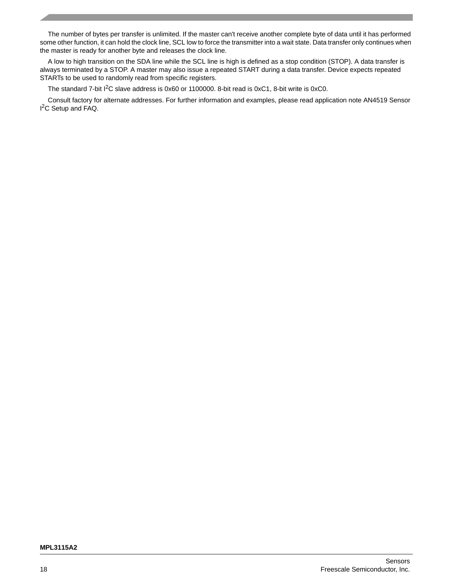The number of bytes per transfer is unlimited. If the master can't receive another complete byte of data until it has performed some other function, it can hold the clock line, SCL low to force the transmitter into a wait state. Data transfer only continues when the master is ready for another byte and releases the clock line.

A low to high transition on the SDA line while the SCL line is high is defined as a stop condition (STOP). A data transfer is always terminated by a STOP. A master may also issue a repeated START during a data transfer. Device expects repeated STARTs to be used to randomly read from specific registers.

The standard 7-bit I<sup>2</sup>C slave address is 0x60 or 1100000. 8-bit read is 0xC1, 8-bit write is 0xC0.

Consult factory for alternate addresses. For further information and examples, please read application note AN4519 Sensor I<sup>2</sup>C Setup and FAQ.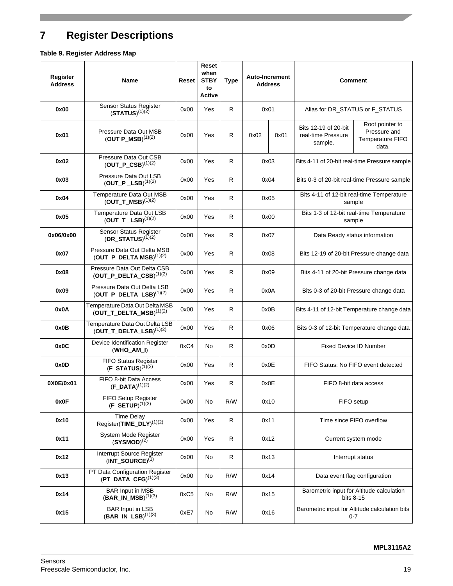# <span id="page-18-0"></span>**7 Register Descriptions**

# **Table 9. Register Address Map**

| Register<br><b>Address</b> | <b>Name</b>                                                     | Reset | Reset<br>when<br><b>STBY</b><br>to<br><b>Active</b> | <b>Type</b>  |                                                 | <b>Auto-Increment</b><br><b>Address</b>           |                                                           | <b>Comment</b>                                               |
|----------------------------|-----------------------------------------------------------------|-------|-----------------------------------------------------|--------------|-------------------------------------------------|---------------------------------------------------|-----------------------------------------------------------|--------------------------------------------------------------|
| 0x00                       | Sensor Status Register<br>$(STATUS)^{(1)(2)}$                   | 0x00  | Yes                                                 | $\mathsf{R}$ | 0x01                                            |                                                   | Alias for DR_STATUS or F_STATUS                           |                                                              |
| 0x01                       | Pressure Data Out MSB<br>(OUT P MSB) <sup>(1)(2)</sup>          | 0x00  | Yes                                                 | R            | 0x02                                            | 0x01                                              | Bits 12-19 of 20-bit<br>real-time Pressure<br>sample.     | Root pointer to<br>Pressure and<br>Temperature FIFO<br>data. |
| 0x02                       | Pressure Data Out CSB<br>$(OUT_P_CSB)^{(1)(2)}$                 | 0x00  | Yes                                                 | $\mathsf{R}$ |                                                 | 0x03                                              |                                                           | Bits 4-11 of 20-bit real-time Pressure sample                |
| 0x03                       | Pressure Data Out LSB<br>$(OUT_P _LSB)^{(1)(2)}$                | 0x00  | Yes                                                 | R            |                                                 | 0x04                                              |                                                           | Bits 0-3 of 20-bit real-time Pressure sample                 |
| 0x04                       | Temperature Data Out MSB<br>$(OUT_T_MSB)^{(1)(2)}$              | 0x00  | Yes                                                 | $\mathsf{R}$ |                                                 | 0x05                                              |                                                           | Bits 4-11 of 12-bit real-time Temperature<br>sample          |
| 0x05                       | Temperature Data Out LSB<br>(OUT T LSB) $(1)(2)$                | 0x00  | Yes                                                 | $\mathsf{R}$ |                                                 | 0x00                                              |                                                           | Bits 1-3 of 12-bit real-time Temperature<br>sample           |
| 0x06/0x00                  | Sensor Status Register<br>$(DR\_STATUS)^{(\bar{1})(2)}$         | 0x00  | Yes                                                 | R            |                                                 | 0x07                                              |                                                           | Data Ready status information                                |
| 0x07                       | Pressure Data Out Delta MSB<br>$(OUT_P_DELTA MSB)^{(1)(2)}$     | 0x00  | Yes                                                 | $\mathsf{R}$ |                                                 | 0x08<br>Bits 12-19 of 20-bit Pressure change data |                                                           |                                                              |
| 0x08                       | Pressure Data Out Delta CSB<br>$(OUT_P_DELTA_CSB)^{(1)(2)}$     | 0x00  | Yes                                                 | R            | 0x09                                            |                                                   | Bits 4-11 of 20-bit Pressure change data                  |                                                              |
| 0x09                       | Pressure Data Out Delta LSB<br>$(OUT_P_DELTA_LSB)^{(1)(2)}$     | 0x00  | Yes                                                 | R            | 0x0A<br>Bits 0-3 of 20-bit Pressure change data |                                                   |                                                           |                                                              |
| 0x0A                       | Temperature Data Out Delta MSB<br>$(OUT_T_DELTA_MSB)^{(1)(2)}$  | 0x00  | Yes                                                 | $\mathsf{R}$ |                                                 | 0x0B                                              | Bits 4-11 of 12-bit Temperature change data               |                                                              |
| 0x0B                       | Temperature Data Out Delta LSB<br>$(OUT_T_DELT_A_LSB)^{(1)(2)}$ | 0x00  | Yes                                                 | $\mathsf{R}$ |                                                 | 0x06                                              |                                                           | Bits 0-3 of 12-bit Temperature change data                   |
| 0x0C                       | Device Identification Register<br>$(WHO$ AM I)                  | 0xC4  | No                                                  | $\mathsf{R}$ |                                                 | 0x0D                                              |                                                           | <b>Fixed Device ID Number</b>                                |
| 0x0D                       | FIFO Status Register<br>$(F\_STATUS)^{(1)(2)}$                  | 0x00  | Yes                                                 | $\mathsf{R}$ |                                                 | 0x0E                                              |                                                           | FIFO Status: No FIFO event detected                          |
| 0X0E/0x01                  | FIFO 8-bit Data Access<br>$(F\_DATA)^{(1)(2)}$                  | 0x00  | Yes                                                 | $\mathsf{R}$ | 0x0E                                            |                                                   |                                                           | FIFO 8-bit data access                                       |
| 0x0F                       | FIFO Setup Register<br>$(F\_SETUP)^{(1)(3)}$                    | 0x00  | No                                                  | R/W          |                                                 | 0x10                                              |                                                           | FIFO setup                                                   |
| 0x10                       | <b>Time Delay</b><br>Register(TIME_DLY) <sup>(1)(2)</sup>       | 0x00  | Yes                                                 | ${\sf R}$    |                                                 | 0x11                                              |                                                           | Time since FIFO overflow                                     |
| 0x11                       | System Mode Register<br>$(SYSMOD)^{(2)}$                        | 0x00  | Yes                                                 | ${\sf R}$    |                                                 | 0x12                                              |                                                           | Current system mode                                          |
| 0x12                       | Interrupt Source Register<br>$(INT_SOWRCE)^{(1)}$               | 0x00  | No                                                  | ${\sf R}$    |                                                 | 0x13                                              |                                                           | Interrupt status                                             |
| 0x13                       | PT Data Configuration Register<br>$(PT\_DATA\_CFG)^{(1)(3)}$    | 0x00  | No                                                  | R/W          |                                                 | 0x14                                              |                                                           | Data event flag configuration                                |
| 0x14                       | <b>BAR Input in MSB</b><br>$(BAR_IN_MSB)^{(1)(3)}$              | 0xC5  | No                                                  | R/W          |                                                 | 0x15                                              |                                                           | Barometric input for Altitude calculation<br>bits 8-15       |
| 0x15                       | <b>BAR Input in LSB</b><br>$(BAR_IN_LSB)^{(1)(3)}$              | 0xE7  | No                                                  | R/W          |                                                 | 0x16                                              | Barometric input for Altitude calculation bits<br>$0 - 7$ |                                                              |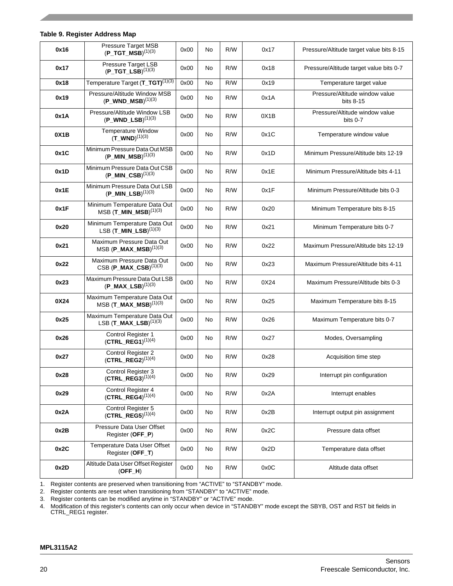**Table 9. Register Address Map**

| 0x16 | Pressure Target MSB<br>(P TGT MSB) $^{(1)(3)}$                      | 0x00 | No | R/W | 0x17 | Pressure/Altitude target value bits 8-15    |
|------|---------------------------------------------------------------------|------|----|-----|------|---------------------------------------------|
| 0x17 | Pressure Target LSB<br>$(P_TGT_LSB)^{(1)(3)}$                       | 0x00 | No | R/W | 0x18 | Pressure/Altitude target value bits 0-7     |
| 0x18 | Temperature Target (T_TGT) <sup>(1)(3)</sup>                        | 0x00 | No | R/W | 0x19 | Temperature target value                    |
| 0x19 | Pressure/Altitude Window MSB<br>$(P_WWD_MSB)^{(1)(3)}$              | 0x00 | No | R/W | 0x1A | Pressure/Altitude window value<br>bits 8-15 |
| 0x1A | Pressure/Altitude Window LSB<br>$(P_WWD_LSB)^{(1)(3)}$              | 0x00 | No | R/W | 0X1B | Pressure/Altitude window value<br>bits 0-7  |
| 0X1B | Temperature Window<br>$(T_{WND})^{(1)(3)}$                          | 0x00 | No | R/W | 0x1C | Temperature window value                    |
| 0x1C | Minimum Pressure Data Out MSB<br>$(P_MIN_MSB)^{(1)(3)}$             | 0x00 | No | R/W | 0x1D | Minimum Pressure/Altitude bits 12-19        |
| 0x1D | Minimum Pressure Data Out CSB<br>$(P_MIN_CSB)^{(1)(3)}$             | 0x00 | No | R/W | 0x1E | Minimum Pressure/Altitude bits 4-11         |
| 0x1E | Minimum Pressure Data Out LSB<br>$(P_MIN_LSB)^{(1)(3)}$             | 0x00 | No | R/W | 0x1F | Minimum Pressure/Altitude bits 0-3          |
| 0x1F | Minimum Temperature Data Out<br>$MSB$ (T_MIN_MSB) <sup>(1)(3)</sup> | 0x00 | No | R/W | 0x20 | Minimum Temperature bits 8-15               |
| 0x20 | Minimum Temperature Data Out<br>$LSB (T_MIN_LSB)^{(1)(3)}$          | 0x00 | No | R/W | 0x21 | Minimum Temperature bits 0-7                |
| 0x21 | Maximum Pressure Data Out<br>$MSB (P_MAX_MSB)^{(1)(3)}$             | 0x00 | No | R/W | 0x22 | Maximum Pressure/Altitude bits 12-19        |
| 0x22 | Maximum Pressure Data Out<br>$CSB (P_MAX_CSB)^{(1)(3)}$             | 0x00 | No | R/W | 0x23 | Maximum Pressure/Altitude bits 4-11         |
| 0x23 | Maximum Pressure Data Out LSB<br>$(P_MAX_LSB)^{(1)(3)}$             | 0x00 | No | R/W | 0X24 | Maximum Pressure/Altitude bits 0-3          |
| 0X24 | Maximum Temperature Data Out<br>$MSB$ (T_MAX_MSB) <sup>(1)(3)</sup> | 0x00 | No | R/W | 0x25 | Maximum Temperature bits 8-15               |
| 0x25 | Maximum Temperature Data Out<br>LSB $(T_MAX_LSB)^{(1)(3)}$          | 0x00 | No | R/W | 0x26 | Maximum Temperature bits 0-7                |
| 0x26 | Control Register 1<br>(CTRL REG1) $(1)(4)$                          | 0x00 | No | R/W | 0x27 | Modes, Oversampling                         |
| 0x27 | Control Register 2<br>$(CTRL\_REG2)^{(1)(4)}$                       | 0x00 | No | R/W | 0x28 | Acquisition time step                       |
| 0x28 | Control Register 3<br>$(CTRL\_REG3)^{(1)(4)}$                       | 0x00 | No | R/W | 0x29 | Interrupt pin configuration                 |
| 0x29 | Control Register 4<br>$(CTRL\_REG4)^{(1)(4)}$                       | 0x00 | No | R/W | 0x2A | Interrupt enables                           |
| 0x2A | Control Register 5<br>$(CTRL\_REGS)^{(1)(4)}$                       | 0x00 | No | R/W | 0x2B | Interrupt output pin assignment             |
| 0x2B | Pressure Data User Offset<br>Register (OFF_P)                       | 0x00 | No | R/W | 0x2C | Pressure data offset                        |
| 0x2C | Temperature Data User Offset<br>Register (OFF_T)                    | 0x00 | No | R/W | 0x2D | Temperature data offset                     |
| 0x2D | Altitude Data User Offset Register<br>$(OFF_H)$                     | 0x00 | No | R/W | 0x0C | Altitude data offset                        |

1. Register contents are preserved when transitioning from "ACTIVE" to "STANDBY" mode.

2. Register contents are reset when transitioning from "STANDBY" to "ACTIVE" mode.

3. Register contents can be modified anytime in "STANDBY" or "ACTIVE" mode.

4. Modification of this register's contents can only occur when device in "STANDBY" mode except the SBYB, OST and RST bit fields in CTRL\_REG1 register.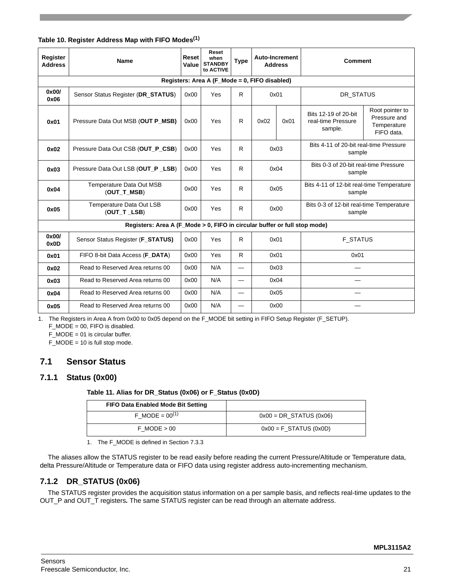## **Table 10. Register Address Map with FIFO Modes(1)**

| Register<br><b>Address</b>                    | <b>Name</b>                                                               | Reset<br>Value | Reset<br>when<br><b>STANDBY</b><br>to ACTIVE | <b>Type</b> | <b>Auto-Increment</b><br><b>Address</b> |      | <b>Comment</b>                                        |                                                              |  |  |  |  |
|-----------------------------------------------|---------------------------------------------------------------------------|----------------|----------------------------------------------|-------------|-----------------------------------------|------|-------------------------------------------------------|--------------------------------------------------------------|--|--|--|--|
| Registers: Area A (F_Mode = 0, FIFO disabled) |                                                                           |                |                                              |             |                                         |      |                                                       |                                                              |  |  |  |  |
| 0x00/<br>0x06                                 | Sensor Status Register (DR_STATUS)                                        | 0x00           | Yes                                          | R.          | 0x01                                    |      | DR STATUS                                             |                                                              |  |  |  |  |
| 0x01                                          | Pressure Data Out MSB (OUT P_MSB)                                         | 0x00           | Yes                                          | R           | 0x02                                    | 0x01 | Bits 12-19 of 20-bit<br>real-time Pressure<br>sample. | Root pointer to<br>Pressure and<br>Temperature<br>FIFO data. |  |  |  |  |
| 0x02                                          | Pressure Data Out CSB (OUT_P_CSB)                                         | 0x00           | Yes                                          | R.          |                                         | 0x03 | Bits 4-11 of 20-bit real-time Pressure<br>sample      |                                                              |  |  |  |  |
| 0x03                                          | Pressure Data Out LSB (OUT P LSB)                                         | 0x00           | Yes                                          | R.          |                                         | 0x04 | Bits 0-3 of 20-bit real-time Pressure<br>sample       |                                                              |  |  |  |  |
| 0x04                                          | Temperature Data Out MSB<br>(OUT_T_MSB)                                   | 0x00           | Yes                                          | R.          |                                         | 0x05 | Bits 4-11 of 12-bit real-time Temperature<br>sample   |                                                              |  |  |  |  |
| 0x05                                          | Temperature Data Out LSB<br>(OUT_T _LSB)                                  | 0x00           | Yes                                          | R           |                                         | 0x00 | Bits 0-3 of 12-bit real-time Temperature<br>sample    |                                                              |  |  |  |  |
|                                               | Registers: Area A (F_Mode > 0, FIFO in circular buffer or full stop mode) |                |                                              |             |                                         |      |                                                       |                                                              |  |  |  |  |
| 0x00/<br>0x0D                                 | Sensor Status Register (F_STATUS)                                         | 0x00           | Yes                                          | R.          | 0x01                                    |      | <b>F STATUS</b>                                       |                                                              |  |  |  |  |
| 0x01                                          | FIFO 8-bit Data Access (F_DATA)                                           | 0x00           | Yes                                          | R           | 0x01                                    |      | 0x01                                                  |                                                              |  |  |  |  |
| 0x02                                          | Read to Reserved Area returns 00                                          | 0x00           | N/A                                          | —           |                                         | 0x03 |                                                       |                                                              |  |  |  |  |
| 0x03                                          | Read to Reserved Area returns 00                                          | 0x00           | N/A                                          |             |                                         | 0x04 |                                                       |                                                              |  |  |  |  |
| 0x04                                          | Read to Reserved Area returns 00                                          | 0x00           | N/A                                          |             |                                         | 0x05 |                                                       |                                                              |  |  |  |  |
| 0x05                                          | Read to Reserved Area returns 00                                          | 0x00           | N/A                                          |             |                                         | 0x00 |                                                       |                                                              |  |  |  |  |

1. The Registers in Area A from 0x00 to 0x05 depend on the F\_MODE bit setting in FIFO Setup Register (F\_SETUP).

F\_MODE = 00, FIFO is disabled.

F\_MODE = 01 is circular buffer.

 $F_MODE = 10$  is full stop mode.

# <span id="page-20-0"></span>**7.1 Sensor Status**

# **7.1.1 Status (0x00)**

**Table 11. Alias for DR\_Status (0x06) or F\_Status (0x0D)**

| <b>FIFO Data Enabled Mode Bit Setting</b> |                           |
|-------------------------------------------|---------------------------|
| F MODE = $00^{(1)}$                       | $0x00 = DR_STATUS (0x06)$ |
| $F$ MODE $> 00$                           | $0x00 = F$ STATUS (0x0D)  |

1. The F\_MODE is defined in Section 7.3.3

The aliases allow the STATUS register to be read easily before reading the current Pressure/Altitude or Temperature data, delta Pressure/Altitude or Temperature data or FIFO data using register address auto-incrementing mechanism.

# **7.1.2 DR\_STATUS (0x06)**

The STATUS register provides the acquisition status information on a per sample basis, and reflects real-time updates to the OUT\_P and OUT\_T registers*.* The same STATUS register can be read through an alternate address.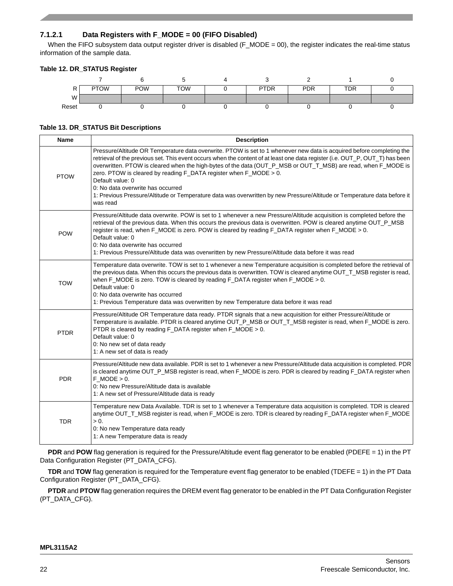## **7.1.2.1 Data Registers with F\_MODE = 00 (FIFO Disabled)**

When the FIFO subsystem data output register driver is disabled (F\_MODE = 00), the register indicates the real-time status information of the sample data.

### **Table 12. DR\_STATUS Register**

|       | <b>PTOW</b> | <b>POW</b> | <b>TOW</b> | <b>PTDR</b> | <b>PDR</b> | <b>TDR</b> |  |
|-------|-------------|------------|------------|-------------|------------|------------|--|
| W     |             |            |            |             |            |            |  |
| Reset |             |            |            |             |            |            |  |

#### **Table 13. DR\_STATUS Bit Descriptions**

| <b>Name</b> | <b>Description</b>                                                                                                                                                                                                                                                                                                                                                                                                                                                                                                                                                                                                                            |
|-------------|-----------------------------------------------------------------------------------------------------------------------------------------------------------------------------------------------------------------------------------------------------------------------------------------------------------------------------------------------------------------------------------------------------------------------------------------------------------------------------------------------------------------------------------------------------------------------------------------------------------------------------------------------|
| <b>PTOW</b> | Pressure/Altitude OR Temperature data overwrite. PTOW is set to 1 whenever new data is acquired before completing the<br>retrieval of the previous set. This event occurs when the content of at least one data register (i.e. OUT_P, OUT_T) has been<br>overwritten. PTOW is cleared when the high-bytes of the data (OUT_P_MSB or OUT_T_MSB) are read, when F_MODE is<br>zero. PTOW is cleared by reading F_DATA register when F_MODE > 0.<br>Default value: 0<br>0. No data overwrite has occurred<br>1: Previous Pressure/Altitude or Temperature data was overwritten by new Pressure/Altitude or Temperature data before it<br>was read |
| <b>POW</b>  | Pressure/Altitude data overwrite. POW is set to 1 whenever a new Pressure/Altitude acquisition is completed before the<br>retrieval of the previous data. When this occurs the previous data is overwritten. POW is cleared anytime OUT_P_MSB<br>register is read, when F_MODE is zero. POW is cleared by reading F_DATA register when F_MODE > 0.<br>Default value: 0<br>0: No data overwrite has occurred<br>1: Previous Pressure/Altitude data was overwritten by new Pressure/Altitude data before it was read                                                                                                                            |
| <b>TOW</b>  | Temperature data overwrite. TOW is set to 1 whenever a new Temperature acquisition is completed before the retrieval of<br>the previous data. When this occurs the previous data is overwritten. TOW is cleared anytime OUT_T_MSB register is read,<br>when $F_MODE$ is zero. TOW is cleared by reading $F_DATA$ register when $F_MODE > 0$ .<br>Default value: 0<br>0. No data overwrite has occurred<br>1: Previous Temperature data was overwritten by new Temperature data before it was read                                                                                                                                             |
| <b>PTDR</b> | Pressure/Altitude OR Temperature data ready. PTDR signals that a new acquisition for either Pressure/Altitude or<br>Temperature is available. PTDR is cleared anytime OUT_P_MSB or OUT_T_MSB register is read, when F_MODE is zero.<br>PTDR is cleared by reading F_DATA register when F_MODE > 0.<br>Default value: 0<br>0: No new set of data ready<br>1: A new set of data is ready                                                                                                                                                                                                                                                        |
| <b>PDR</b>  | Pressure/Altitude new data available. PDR is set to 1 whenever a new Pressure/Altitude data acquisition is completed. PDR<br>is cleared anytime OUT_P_MSB register is read, when F_MODE is zero. PDR is cleared by reading F_DATA register when<br>$F$ MODE $> 0$ .<br>0: No new Pressure/Altitude data is available<br>1: A new set of Pressure/Altitude data is ready                                                                                                                                                                                                                                                                       |
| <b>TDR</b>  | Temperature new Data Available. TDR is set to 1 whenever a Temperature data acquisition is completed. TDR is cleared<br>anytime OUT_T_MSB register is read, when F_MODE is zero. TDR is cleared by reading F_DATA register when F_MODE<br>$> 0$ .<br>0: No new Temperature data ready<br>1: A new Temperature data is ready                                                                                                                                                                                                                                                                                                                   |

**PDR** and **POW** flag generation is required for the Pressure/Altitude event flag generator to be enabled (PDEFE = 1) in the PT Data Configuration Register (PT\_DATA\_CFG).

**TDR** and **TOW** flag generation is required for the Temperature event flag generator to be enabled (TDEFE = 1) in the PT Data Configuration Register (PT\_DATA\_CFG).

**PTDR** and **PTOW** flag generation requires the DREM event flag generator to be enabled in the PT Data Configuration Register (PT\_DATA\_CFG).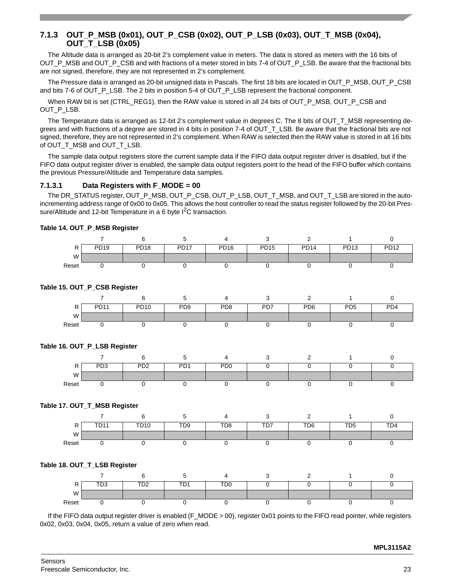# **7.1.3 OUT\_P\_MSB (0x01), OUT\_P\_CSB (0x02), OUT\_P\_LSB (0x03), OUT\_T\_MSB (0x04), OUT\_T\_LSB (0x05)**

The Altitude data is arranged as 20-bit 2's complement value in meters. The data is stored as meters with the 16 bits of OUT\_P\_MSB and OUT\_P\_CSB and with fractions of a meter stored in bits 7-4 of OUT\_P\_LSB. Be aware that the fractional bits are not signed, therefore, they are not represented in 2's complement.

The Pressure data is arranged as 20-bit unsigned data in Pascals. The first 18 bits are located in OUT\_P\_MSB, OUT\_P\_CSB and bits 7-6 of OUT\_P\_LSB. The 2 bits in position 5-4 of OUT\_P\_LSB represent the fractional component.

When RAW bit is set (CTRL\_REG1), then the RAW value is stored in all 24 bits of OUT\_P\_MSB, OUT\_P\_CSB and OUT\_P\_LSB.

The Temperature data is arranged as 12-bit 2's complement value in degrees C. The 8 bits of OUT\_T\_MSB representing degrees and with fractions of a degree are stored in 4 bits in position 7-4 of OUT\_T\_LSB. Be aware that the fractional bits are not signed, therefore, they are not represented in 2's complement. When RAW is selected then the RAW value is stored in all 16 bits of OUT\_T\_MSB and OUT\_T\_LSB.

The sample data output registers store the current sample data if the FIFO data output register driver is disabled, but if the FIFO data output register driver is enabled, the sample data output registers point to the head of the FIFO buffer which contains the previous Pressure/Altitude and Temperature data samples.

#### **7.1.3.1 Data Registers with F\_MODE = 00**

The DR\_STATUS register, OUT\_P\_MSB, OUT\_P\_CSB, OUT\_P\_LSB, OUT\_T\_MSB, and OUT\_T\_LSB are stored in the autoincrementing address range of 0x00 to 0x05. This allows the host controller to read the status register followed by the 20-bit Pressure/Altitude and 12-bit Temperature in a 6 byte  $1^2C$  transaction.

#### **Table 14. OUT\_P\_MSB Register**

| D<br>$\mathbf{I}$ | PD <sub>19</sub> | <b>PD18</b> | <b>PD17</b> | <b>PD16</b> | <b>PD15</b> | <b>PD14</b> | PD13 | <b>PD12</b> |
|-------------------|------------------|-------------|-------------|-------------|-------------|-------------|------|-------------|
| W                 |                  |             |             |             |             |             |      |             |
| Reset             |                  |             |             |             |             |             |      |             |

### **Table 15. OUT\_P\_CSB Register**

|       | <b>PD11</b> | <b>PD10</b> | PD <sub>9</sub> | PD <sub>8</sub> | PD7 | PD <sub>6</sub> | PD <sub>5</sub> | PD <sub>4</sub> |
|-------|-------------|-------------|-----------------|-----------------|-----|-----------------|-----------------|-----------------|
| W     |             |             |                 |                 |     |                 |                 |                 |
| Reset |             |             |                 |                 |     |                 |                 |                 |

#### **Table 16. OUT\_P\_LSB Register**

| D<br>., | PD <sub>3</sub> | PD <sub>2</sub> | D <sub>D</sub> 1<br>◡ | P <sub>D</sub> <sub>0</sub> |  |  |  |
|---------|-----------------|-----------------|-----------------------|-----------------------------|--|--|--|
| W       |                 |                 |                       |                             |  |  |  |
| Reset   |                 |                 |                       |                             |  |  |  |

#### **Table 17. OUT\_T\_MSB Register**

|       | <b>TD11</b> | <b>TD10</b> | TD9 | TD <sub>8</sub> | TD7 | TD6 | TD5 | TD <sub>4</sub> |
|-------|-------------|-------------|-----|-----------------|-----|-----|-----|-----------------|
| W     |             |             |     |                 |     |     |     |                 |
| Reset |             |             |     |                 |     |     |     |                 |

#### **Table 18. OUT\_T\_LSB Register**

| -     | <b>TD2</b><br>്ധ | <b>TD2</b><br>ື້ | TD <sub>1</sub><br>້ | T <sub>D</sub> <sub>0</sub> |  |  |
|-------|------------------|------------------|----------------------|-----------------------------|--|--|
| M     |                  |                  |                      |                             |  |  |
| Reset |                  |                  |                      |                             |  |  |

If the FIFO data output register driver is enabled (F\_MODE > 00), register 0x01 points to the FIFO read pointer, while registers 0x02, 0x03, 0x04, 0x05, return a value of zero when read.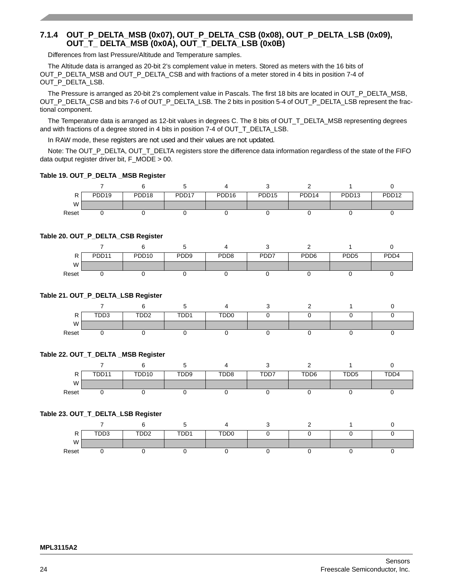# **7.1.4 OUT\_P\_DELTA\_MSB (0x07), OUT\_P\_DELTA\_CSB (0x08), OUT\_P\_DELTA\_LSB (0x09), OUT\_T\_ DELTA\_MSB (0x0A), OUT\_T\_DELTA\_LSB (0x0B)**

Differences from last Pressure/Altitude and Temperature samples.

The Altitude data is arranged as 20-bit 2's complement value in meters. Stored as meters with the 16 bits of OUT\_P\_DELTA\_MSB and OUT\_P\_DELTA\_CSB and with fractions of a meter stored in 4 bits in position 7-4 of OUT\_P\_DELTA\_LSB.

The Pressure is arranged as 20-bit 2's complement value in Pascals. The first 18 bits are located in OUT\_P\_DELTA\_MSB, OUT\_P\_DELTA\_CSB and bits 7-6 of OUT\_P\_DELTA\_LSB. The 2 bits in position 5-4 of OUT\_P\_DELTA\_LSB represent the fractional component.

The Temperature data is arranged as 12-bit values in degrees C. The 8 bits of OUT\_T\_DELTA\_MSB representing degrees and with fractions of a degree stored in 4 bits in position 7-4 of OUT\_T\_DELTA\_LSB.

In RAW mode, these registers are not used and their values are not updated.

Note: The OUT\_P\_DELTA, OUT\_T\_DELTA registers store the difference data information regardless of the state of the FIFO data output register driver bit, F\_MODE > 00.

#### **Table 19. OUT\_P\_DELTA \_MSB Register**

| D<br>'' | PDD <sub>19</sub> | PDD <sub>18</sub> | PDD <sub>17</sub> | PDD <sub>16</sub> | PDD <sub>15</sub> | PDD <sub>14</sub> | PDD <sub>13</sub> | PDD <sub>12</sub> |
|---------|-------------------|-------------------|-------------------|-------------------|-------------------|-------------------|-------------------|-------------------|
| W       |                   |                   |                   |                   |                   |                   |                   |                   |
| Reset   |                   |                   |                   |                   |                   |                   |                   |                   |

#### **Table 20. OUT\_P\_DELTA\_CSB Register**

|       | PDD <sub>11</sub> | PDD <sub>10</sub> | PDD <sub>9</sub> | PDD <sub>8</sub> | PDD7 | PDD <sub>6</sub> | PD <sub>D5</sub> | PD <sub>D</sub> 4 |
|-------|-------------------|-------------------|------------------|------------------|------|------------------|------------------|-------------------|
| W     |                   |                   |                  |                  |      |                  |                  |                   |
| Reset |                   |                   |                  |                  |      |                  |                  |                   |

#### **Table 21. OUT\_P\_DELTA\_LSB Register**

| ח<br>n. | TDD3 | TDD <sub>2</sub> | TDD1 | TDD <sub>0</sub> |  |  |
|---------|------|------------------|------|------------------|--|--|
| W       |      |                  |      |                  |  |  |
| Reset   |      |                  |      |                  |  |  |

#### **Table 22. OUT\_T\_DELTA \_MSB Register**

|       | TDD11 | TDD10 | TDD <sub>9</sub> | TDD <sub>8</sub> | TDD7 | TDD6 | TDD <sub>5</sub> | TDD4 |
|-------|-------|-------|------------------|------------------|------|------|------------------|------|
| W     |       |       |                  |                  |      |      |                  |      |
| Reset |       |       |                  |                  |      |      |                  |      |

#### **Table 23. OUT\_T\_DELTA\_LSB Register**

| . .   | <b>TDD2</b><br>טשע | TDD2 | TDD1 | <b>TDD0</b><br>・レレー |  |  |
|-------|--------------------|------|------|---------------------|--|--|
| W     |                    |      |      |                     |  |  |
| Reset |                    |      |      |                     |  |  |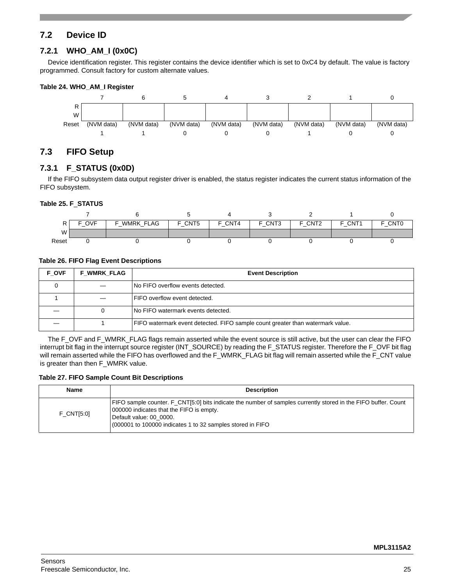# <span id="page-24-0"></span>**7.2 Device ID**

# **7.2.1 WHO\_AM\_I (0x0C)**

Device identification register. This register contains the device identifier which is set to 0xC4 by default. The value is factory programmed. Consult factory for custom alternate values.

#### **Table 24. WHO\_AM\_I Register**



# <span id="page-24-1"></span>**7.3 FIFO Setup**

## **7.3.1 F\_STATUS (0x0D)**

If the FIFO subsystem data output register driver is enabled, the status register indicates the current status information of the FIFO subsystem.

#### **Table 25. F**\_**STATUS**

|       | <b>OVF</b> | WMRK FLAG<br>- | F_CNT5 | F CNT4 | F CNT3 | F CNT <sub>2</sub> | F CNT1 | F CNTO |
|-------|------------|----------------|--------|--------|--------|--------------------|--------|--------|
| W     |            |                |        |        |        |                    |        |        |
| Reset |            |                |        |        |        |                    |        |        |

## **Table 26. FIFO Flag Event Descriptions**

| <b>F OVF</b> | <b>F WMRK FLAG</b> | <b>Event Description</b>                                                       |
|--------------|--------------------|--------------------------------------------------------------------------------|
|              |                    | <b>No FIFO overflow events detected.</b>                                       |
|              |                    | <b>FIFO overflow event detected.</b>                                           |
|              |                    | <b>INo FIFO watermark events detected.</b>                                     |
|              |                    | FIFO watermark event detected. FIFO sample count greater than watermark value. |

The F\_OVF and F\_WMRK\_FLAG flags remain asserted while the event source is still active, but the user can clear the FIFO interrupt bit flag in the interrupt source register (INT\_SOURCE) by reading the F\_STATUS register. Therefore the F\_OVF bit flag will remain asserted while the FIFO has overflowed and the F\_WMRK\_FLAG bit flag will remain asserted while the F\_CNT value is greater than then F\_WMRK value.

#### **Table 27. FIFO Sample Count Bit Descriptions**

| <b>Name</b>       | <b>Description</b>                                                                                                                                                                                                                                  |
|-------------------|-----------------------------------------------------------------------------------------------------------------------------------------------------------------------------------------------------------------------------------------------------|
| <b>F CNT[5:0]</b> | FIFO sample counter. F_CNT[5:0] bits indicate the number of samples currently stored in the FIFO buffer. Count<br>000000 indicates that the FIFO is empty.<br>Default value: 00 0000.<br>(000001 to 100000 indicates 1 to 32 samples stored in FIFO |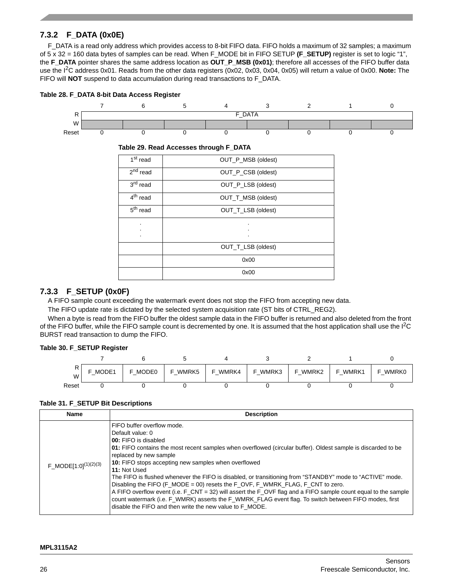# **7.3.2 F\_DATA (0x0E)**

F\_DATA is a read only address which provides access to 8-bit FIFO data. FIFO holds a maximum of 32 samples; a maximum of 5 x 32 = 160 data bytes of samples can be read. When F\_MODE bit in FIFO SETUP **(F\_SETUP)** register is set to logic "1", the **F\_DATA** pointer shares the same address location as **OUT\_P\_MSB (0x01)**; therefore all accesses of the FIFO buffer data use the I2C address 0x01. Reads from the other data registers (0x02, 0x03, 0x04, 0x05) will return a value of 0x00. **Note:** The FIFO will **NOT** suspend to data accumulation during read transactions to F\_DATA.



#### **Table 29. Read Accesses through F\_DATA**

| 1 <sup>st</sup> read | OUT_P_MSB (oldest) |
|----------------------|--------------------|
| $2nd$ read           | OUT_P_CSB (oldest) |
| 3 <sup>rd</sup> read | OUT_P_LSB (oldest) |
| 4 <sup>th</sup> read | OUT_T_MSB (oldest) |
| $5th$ read           | OUT_T_LSB (oldest) |
| ٠                    |                    |
|                      |                    |
|                      | OUT_T_LSB (oldest) |
|                      | 0x00               |
|                      | 0x00               |

## **7.3.3 F\_SETUP (0x0F)**

A FIFO sample count exceeding the watermark event does not stop the FIFO from accepting new data.

The FIFO update rate is dictated by the selected system acquisition rate (ST bits of CTRL\_REG2).

When a byte is read from the FIFO buffer the oldest sample data in the FIFO buffer is returned and also deleted from the front of the FIFO buffer, while the FIFO sample count is decremented by one. It is assumed that the host application shall use the I<sup>2</sup>C BURST read transaction to dump the FIFO.

#### **Table 30. F\_SETUP Register**

| W     | F MODE1 | MODE0<br>⊢ | WMRK5<br>E. | WMRK4<br><u>ы</u> | F WMRK3 | F WMRK2 | WMRK1<br>- | <b>WMRK0</b><br>− |
|-------|---------|------------|-------------|-------------------|---------|---------|------------|-------------------|
| Reset |         |            |             |                   |         |         |            |                   |

#### **Table 31. F\_SETUP Bit Descriptions**

| <b>Name</b>               | <b>Description</b>                                                                                                                                                                                                                                                                                                                                                                                                                                                                                                                                                                                                                                                                                                                                                                     |
|---------------------------|----------------------------------------------------------------------------------------------------------------------------------------------------------------------------------------------------------------------------------------------------------------------------------------------------------------------------------------------------------------------------------------------------------------------------------------------------------------------------------------------------------------------------------------------------------------------------------------------------------------------------------------------------------------------------------------------------------------------------------------------------------------------------------------|
| $F_MODE[1:0]^{(1)(2)(3)}$ | FIFO buffer overflow mode.<br>Default value: 0<br><b>00:</b> FIFO is disabled<br>01: FIFO contains the most recent samples when overflowed (circular buffer). Oldest sample is discarded to be<br>replaced by new sample<br>10: FIFO stops accepting new samples when overflowed<br>11: Not Used<br>The FIFO is flushed whenever the FIFO is disabled, or transitioning from "STANDBY" mode to "ACTIVE" mode.<br>Disabling the FIFO (F_MODE = 00) resets the F_OVF, F_WMRK_FLAG, F_CNT to zero.<br>A FIFO overflow event (i.e. F_CNT = 32) will assert the F_OVF flag and a FIFO sample count equal to the sample<br>count watermark (i.e. F_WMRK) asserts the F_WMRK_FLAG event flag. To switch between FIFO modes, first<br>disable the FIFO and then write the new value to F MODE. |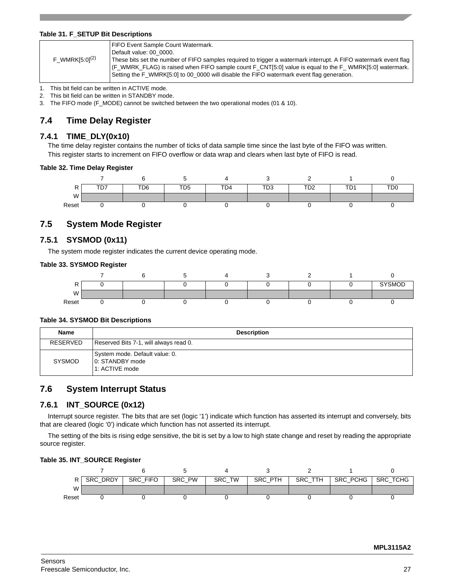#### **Table 31. F\_SETUP Bit Descriptions**

| $F_WMRK[5:0]^{(2)}$ | FIFO Event Sample Count Watermark.<br>Default value: 00 0000.<br>These bits set the number of FIFO samples required to trigger a watermark interrupt. A FIFO watermark event flag<br>$ $ (F_WMRK_FLAG) is raised when FIFO sample count F_CNT[5:0] value is equal to the F_WMRK[5:0] watermark.<br>Setting the F WMRK[5:0] to 00 0000 will disable the FIFO watermark event flag generation. |
|---------------------|----------------------------------------------------------------------------------------------------------------------------------------------------------------------------------------------------------------------------------------------------------------------------------------------------------------------------------------------------------------------------------------------|
|---------------------|----------------------------------------------------------------------------------------------------------------------------------------------------------------------------------------------------------------------------------------------------------------------------------------------------------------------------------------------------------------------------------------------|

1. This bit field can be written in ACTIVE mode.

2. This bit field can be written in STANDBY mode.

3. The FIFO mode (F\_MODE) cannot be switched between the two operational modes (01 & 10).

# <span id="page-26-0"></span>**7.4 Time Delay Register**

## **7.4.1 TIME\_DLY(0x10)**

The time delay register contains the number of ticks of data sample time since the last byte of the FIFO was written. This register starts to increment on FIFO overflow or data wrap and clears when last byte of FIFO is read.

#### **Table 32. Time Delay Register**



# <span id="page-26-1"></span>**7.5 System Mode Register**

# **7.5.1 SYSMOD (0x11)**

The system mode register indicates the current device operating mode.

#### **Table 33. SYSMOD Register**

| D<br>'' |  |  |  | <b>SYSMOD</b> |
|---------|--|--|--|---------------|
| W       |  |  |  |               |
| Reset   |  |  |  |               |

#### **Table 34. SYSMOD Bit Descriptions**

| <b>Name</b>   | <b>Description</b>                                                   |
|---------------|----------------------------------------------------------------------|
| RESERVED      | Reserved Bits 7-1, will always read 0.                               |
| <b>SYSMOD</b> | System mode. Default value: 0.<br>10: STANDBY mode<br>1: ACTIVE mode |

# <span id="page-26-2"></span>**7.6 System Interrupt Status**

## **7.6.1 INT\_SOURCE (0x12)**

Interrupt source register. The bits that are set (logic '1') indicate which function has asserted its interrupt and conversely, bits that are cleared (logic '0') indicate which function has not asserted its interrupt.

The setting of the bits is rising edge sensitive, the bit is set by a low to high state change and reset by reading the appropriate source register.

#### **Table 35. INT\_SOURCE Register**

|       | SRC DRDY | SRC FIFO | SRC PW | SRC TW | SRC PTH | SRC TTH | SRC_PCHG | <b>SRC TCHG</b> |
|-------|----------|----------|--------|--------|---------|---------|----------|-----------------|
| W     |          |          |        |        |         |         |          |                 |
| Reset |          |          |        |        |         |         |          |                 |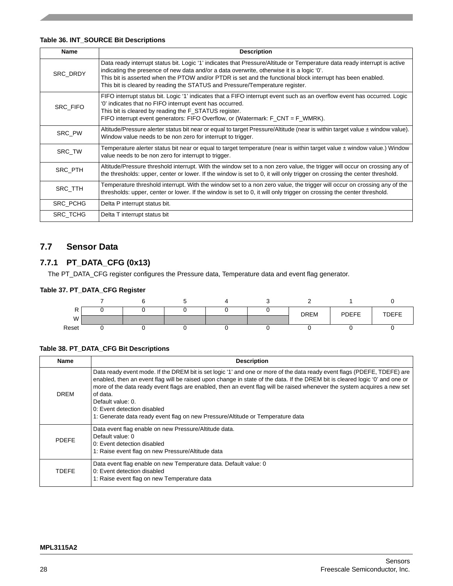## **Table 36. INT\_SOURCE Bit Descriptions**

| <b>Name</b>     | <b>Description</b>                                                                                                                                                                                                                                                                                                                                                                                                   |
|-----------------|----------------------------------------------------------------------------------------------------------------------------------------------------------------------------------------------------------------------------------------------------------------------------------------------------------------------------------------------------------------------------------------------------------------------|
| <b>SRC DRDY</b> | Data ready interrupt status bit. Logic '1' indicates that Pressure/Altitude or Temperature data ready interrupt is active<br>indicating the presence of new data and/or a data overwrite, otherwise it is a logic '0'.<br>This bit is asserted when the PTOW and/or PTDR is set and the functional block interrupt has been enabled.<br>This bit is cleared by reading the STATUS and Pressure/Temperature register. |
| SRC_FIFO        | FIFO interrupt status bit. Logic '1' indicates that a FIFO interrupt event such as an overflow event has occurred. Logic<br>'0' indicates that no FIFO interrupt event has occurred.<br>This bit is cleared by reading the F STATUS register.<br>FIFO interrupt event generators: FIFO Overflow, or (Watermark: $F_CNT = F_WMRK$ ).                                                                                  |
| SRC PW          | Altitude/Pressure alerter status bit near or equal to target Pressure/Altitude (near is within target value ± window value).<br>Window value needs to be non zero for interrupt to trigger.                                                                                                                                                                                                                          |
| SRC_TW          | Temperature alerter status bit near or equal to target temperature (near is within target value ± window value.) Window<br>value needs to be non zero for interrupt to trigger.                                                                                                                                                                                                                                      |
| SRC_PTH         | Altitude/Pressure threshold interrupt. With the window set to a non zero value, the trigger will occur on crossing any of<br>the thresholds: upper, center or lower. If the window is set to 0, it will only trigger on crossing the center threshold.                                                                                                                                                               |
| SRC_TTH         | Temperature threshold interrupt. With the window set to a non zero value, the trigger will occur on crossing any of the<br>thresholds: upper, center or lower. If the window is set to 0, it will only trigger on crossing the center threshold.                                                                                                                                                                     |
| <b>SRC PCHG</b> | Delta P interrupt status bit.                                                                                                                                                                                                                                                                                                                                                                                        |
| SRC_TCHG        | Delta T interrupt status bit                                                                                                                                                                                                                                                                                                                                                                                         |

# <span id="page-27-0"></span>**7.7 Sensor Data**

# **7.7.1 PT\_DATA\_CFG (0x13)**

The PT\_DATA\_CFG register configures the Pressure data, Temperature data and event flag generator.

## **Table 37. PT\_DATA\_CFG Register**

| D<br>PV. |  |  | <b>DREM</b> | PDEFE | <b>TDEFE</b> |
|----------|--|--|-------------|-------|--------------|
| W        |  |  |             |       |              |
| Reset    |  |  |             |       |              |

#### **Table 38. PT\_DATA\_CFG Bit Descriptions**

| <b>Name</b>  | <b>Description</b>                                                                                                                                                                                                                                                                                                                                                                                                                                                                                                                     |
|--------------|----------------------------------------------------------------------------------------------------------------------------------------------------------------------------------------------------------------------------------------------------------------------------------------------------------------------------------------------------------------------------------------------------------------------------------------------------------------------------------------------------------------------------------------|
| <b>DREM</b>  | Data ready event mode. If the DREM bit is set logic '1' and one or more of the data ready event flags (PDEFE, TDEFE) are<br>enabled, then an event flag will be raised upon change in state of the data. If the DREM bit is cleared logic '0' and one or<br>more of the data ready event flags are enabled, then an event flag will be raised whenever the system acquires a new set<br>of data.<br>Default value: 0.<br>0: Event detection disabled<br>1: Generate data ready event flag on new Pressure/Altitude or Temperature data |
| <b>PDEFE</b> | Data event flag enable on new Pressure/Altitude data.<br>Default value: 0<br>0: Event detection disabled<br>1: Raise event flag on new Pressure/Altitude data                                                                                                                                                                                                                                                                                                                                                                          |
| <b>TDEFE</b> | Data event flag enable on new Temperature data. Default value: 0<br>0: Event detection disabled<br>1: Raise event flag on new Temperature data                                                                                                                                                                                                                                                                                                                                                                                         |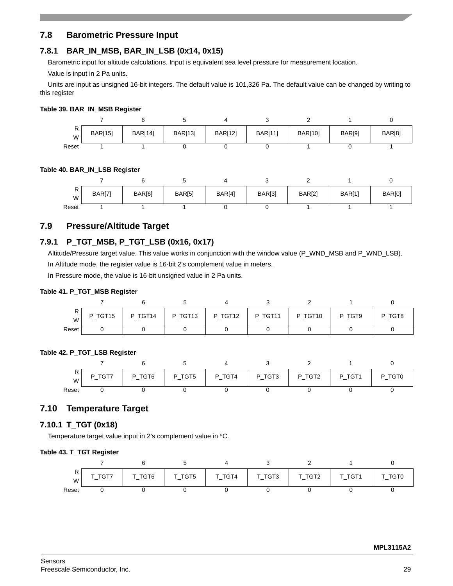# <span id="page-28-0"></span>**7.8 Barometric Pressure Input**

# **7.8.1 BAR\_IN\_MSB, BAR\_IN\_LSB (0x14, 0x15)**

Barometric input for altitude calculations. Input is equivalent sea level pressure for measurement location.

Value is input in 2 Pa units.

Units are input as unsigned 16-bit integers. The default value is 101,326 Pa. The default value can be changed by writing to this register

## **Table 39. BAR\_IN\_MSB Register**

| ''<br>W | <b>BAR[15]</b> | <b>BAR[14]</b> | <b>BAR[13]</b> | <b>BAR[12]</b> | <b>BAR[11]</b> | <b>BAR[10]</b> | BAR[9] | BAR[8] |
|---------|----------------|----------------|----------------|----------------|----------------|----------------|--------|--------|
| Reset   |                |                |                |                |                |                |        |        |

#### **Table 40. BAR\_IN\_LSB Register**

| W     | <b>BAR[7]</b> | BAR[6] | BAR[5] | BAR[4] | BAR[3] | <b>BAR[2]</b> | BAR[1] | BAR[0] |
|-------|---------------|--------|--------|--------|--------|---------------|--------|--------|
| Reset |               |        |        |        |        |               |        |        |

# <span id="page-28-1"></span>**7.9 Pressure/Altitude Target**

# **7.9.1 P\_TGT\_MSB, P\_TGT\_LSB (0x16, 0x17)**

Altitude/Pressure target value. This value works in conjunction with the window value (P\_WND\_MSB and P\_WND\_LSB). In Altitude mode, the register value is 16-bit 2's complement value in meters.

In Pressure mode, the value is 16-bit unsigned value in 2 Pa units.

#### **Table 41. P\_TGT\_MSB Register**

| W       | P_TGT15 | P_TGT14 | P TGT13 | P_TGT12 | P_TGT11 | P TGT10 | P TGT9 | P TGT8 |
|---------|---------|---------|---------|---------|---------|---------|--------|--------|
| Reset i |         |         |         |         |         |         |        |        |

#### **Table 42. P\_TGT\_LSB Register**

| W     | TGT7<br>P. | P_TGT6 | P TGT5<br>$\overline{\phantom{0}}$ | P TGT4<br>$\overline{\phantom{0}}$ | P TGT3 | P_TGT2 | P_TGT1 | TGT0<br>P |
|-------|------------|--------|------------------------------------|------------------------------------|--------|--------|--------|-----------|
| Reset |            |        |                                    |                                    |        |        |        |           |

# <span id="page-28-2"></span>**7.10 Temperature Target**

## **7.10.1 T\_TGT (0x18)**

Temperature target value input in 2's complement value in °C.

#### **Table 43. T\_TGT Register**

| $\cdot$<br>W | $\sqrt{-1}$ GT7 | T_TGT6 | T_TGT5 | T_TGT4 | T_TGT3 | T_TGT2 | T_TGT1 | TGT0 |
|--------------|-----------------|--------|--------|--------|--------|--------|--------|------|
| Reset        |                 |        |        |        |        |        |        |      |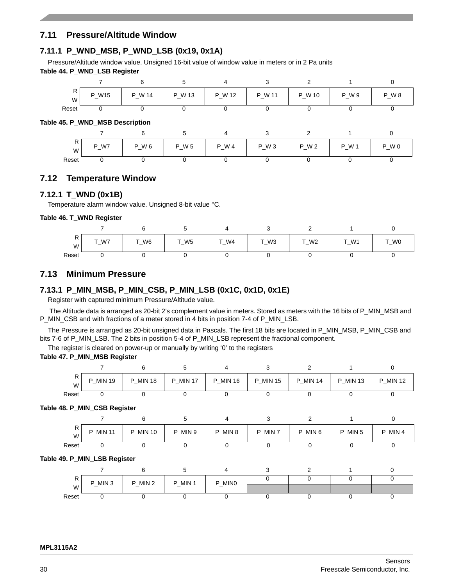# <span id="page-29-0"></span>**7.11 Pressure/Altitude Window**

# **7.11.1 P\_WND\_MSB, P\_WND\_LSB (0x19, 0x1A)**

Pressure/Altitude window value. Unsigned 16-bit value of window value in meters or in 2 Pa units **Table 44. P\_WND\_LSB Register**

| R<br>W | $-$ W15<br>D | P_W 14 | P_W 13 | P_W 12<br>— 1 | P W 11<br>— | P W 10<br>— 1 | W 9<br>D | <b>PW8</b><br>- |
|--------|--------------|--------|--------|---------------|-------------|---------------|----------|-----------------|
| Reset  |              |        |        |               |             |               |          |                 |

#### **Table 45. P\_WND\_MSB Description**

| R<br>W | $\_W7$<br>D | W 6<br>n<br>— 1 | $P_{W}$ 5 | $P_{W4}$ | $P_{W}$ 3 | $P_{W2}$<br>$\overline{\phantom{0}}$ | $\cdot$ W $\cdot$<br>D<br>$\hspace{0.1mm}-\hspace{0.1mm}$ | $P_W$ 0 |
|--------|-------------|-----------------|-----------|----------|-----------|--------------------------------------|-----------------------------------------------------------|---------|
| Reset  |             |                 |           |          |           |                                      |                                                           |         |

# <span id="page-29-1"></span>**7.12 Temperature Window**

## **7.12.1 T\_WND (0x1B)**

Temperature alarm window value. Unsigned 8-bit value °C.

#### **Table 46. T\_WND Register**

| . .<br>W | $T_{-W7}$ | $W_6$ | $T_{-W5}$ | $\_W4$ | $\sim$<br>$\_W3$ | $T_{W2}$ | <b>T W1</b><br>$\overline{\phantom{0}}$ | T_W0 |
|----------|-----------|-------|-----------|--------|------------------|----------|-----------------------------------------|------|
| Reset    |           |       |           |        |                  |          |                                         |      |

# <span id="page-29-2"></span>**7.13 Minimum Pressure**

# **7.13.1 P\_MIN\_MSB, P\_MIN\_CSB, P\_MIN\_LSB (0x1C, 0x1D, 0x1E)**

Register with captured minimum Pressure/Altitude value.

 The Altitude data is arranged as 20-bit 2's complement value in meters. Stored as meters with the 16 bits of P\_MIN\_MSB and P\_MIN\_CSB and with fractions of a meter stored in 4 bits in position 7-4 of P\_MIN\_LSB.

The Pressure is arranged as 20-bit unsigned data in Pascals. The first 18 bits are located in P\_MIN\_MSB, P\_MIN\_CSB and bits 7-6 of P\_MIN\_LSB. The 2 bits in position 5-4 of P\_MIN\_LSB represent the fractional component.

The register is cleared on power-up or manually by writing '0' to the registers

#### **Table 47. P\_MIN\_MSB Register**

| R<br>W | MIN 19<br>D<br>- | _MIN 18<br>P | $\_$ MIN 17<br>D | _MIN 16<br>P | <b>MIN 15</b><br>D | MIN 14<br>P | <b>MIN 13</b><br>D. | <b>P_MIN 12</b> |
|--------|------------------|--------------|------------------|--------------|--------------------|-------------|---------------------|-----------------|
| Reset  |                  |              |                  |              |                    |             |                     |                 |

#### **Table 48. P\_MIN\_CSB Register**

| ''<br>W <sub>1</sub> | <b>MIN 11</b><br>D<br>- | <b>MIN 10</b><br>D<br>- | MIN 9<br>D | P_MIN 8<br>- | P_MIN 7<br>— | P_MIN 6 | _MIN 5<br>D | MIN 4<br>D |
|----------------------|-------------------------|-------------------------|------------|--------------|--------------|---------|-------------|------------|
| Reset                |                         |                         |            |              |              |         |             |            |

#### **Table 49. P\_MIN\_LSB Register**

|       | $-$ MIN 3<br>P | $_MIN$ 2<br>D. | $_MIN1$<br>D | P_MIN0 |  |  |
|-------|----------------|----------------|--------------|--------|--|--|
| W     |                |                |              |        |  |  |
| Reset |                |                |              |        |  |  |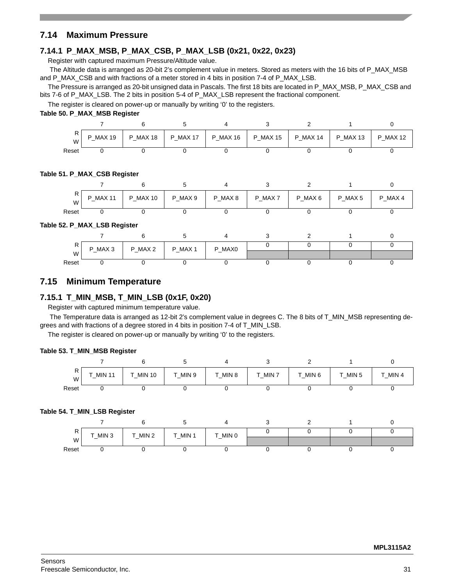# <span id="page-30-0"></span>**7.14 Maximum Pressure**

# **7.14.1 P\_MAX\_MSB, P\_MAX\_CSB, P\_MAX\_LSB (0x21, 0x22, 0x23)**

Register with captured maximum Pressure/Altitude value.

 The Altitude data is arranged as 20-bit 2's complement value in meters. Stored as meters with the 16 bits of P\_MAX\_MSB and P\_MAX\_CSB and with fractions of a meter stored in 4 bits in position 7-4 of P\_MAX\_LSB.

The Pressure is arranged as 20-bit unsigned data in Pascals. The first 18 bits are located in P\_MAX\_MSB, P\_MAX\_CSB and bits 7-6 of P\_MAX\_LSB. The 2 bits in position 5-4 of P\_MAX\_LSB represent the fractional component.

The register is cleared on power-up or manually by writing '0' to the registers.

### **Table 50. P\_MAX\_MSB Register**

| н<br>$\cdots$<br>W | MAX 19<br>D | _MAX 18<br>D | <b>P MAX 17</b> | P_MAX 16 | <b>P MAX 15</b> | <b>P MAX 14</b> | <b>P MAX 13</b> | <b>MAX 12</b><br>D |
|--------------------|-------------|--------------|-----------------|----------|-----------------|-----------------|-----------------|--------------------|
| Reset              |             |              |                 |          |                 |                 |                 |                    |

#### **Table 51. P\_MAX\_CSB Register**

| W     | <b>P_MAX 11</b> | MAX 10<br>P | P_MAX 9 | P_MAX 8 | P_MAX 7 | P MAX 6 | P_MAX 5 | P MAX 4 |
|-------|-----------------|-------------|---------|---------|---------|---------|---------|---------|
| Reset |                 |             |         |         |         |         |         |         |

#### **Table 52. P\_MAX\_LSB Register**

| יי    | P_MAX 3 | $\_MAX$ 2<br>D | $\_MAX$ 1<br>D | P_MAX0 |  |  |
|-------|---------|----------------|----------------|--------|--|--|
| W     |         | —              |                |        |  |  |
| Reset |         |                |                |        |  |  |

## <span id="page-30-1"></span>**7.15 Minimum Temperature**

## **7.15.1 T\_MIN\_MSB, T\_MIN\_LSB (0x1F, 0x20)**

Register with captured minimum temperature value.

 The Temperature data is arranged as 12-bit 2's complement value in degrees C. The 8 bits of T\_MIN\_MSB representing degrees and with fractions of a degree stored in 4 bits in position 7-4 of T\_MIN\_LSB.

The register is cleared on power-up or manually by writing '0' to the registers.

#### **Table 53. T\_MIN\_MSB Register**

| W     | <b>MIN 11</b><br>$-$ | _MIN 10 | _MIN 9<br>$-$ | MIN 8<br>- | $_MIN$ 7 | $_MIN 6$ | MIN <sub>5</sub> | MIN 4<br>- |
|-------|----------------------|---------|---------------|------------|----------|----------|------------------|------------|
| Reset |                      |         |               |            |          |          |                  |            |

#### **Table 54. T\_MIN\_LSB Register**

| $\cdot$ | $\_MIN$ 3 | T_MIN 2 | T_MIN 1 | T_MIN 0 |  |  |
|---------|-----------|---------|---------|---------|--|--|
| W       |           |         |         |         |  |  |
| Reset   |           |         |         |         |  |  |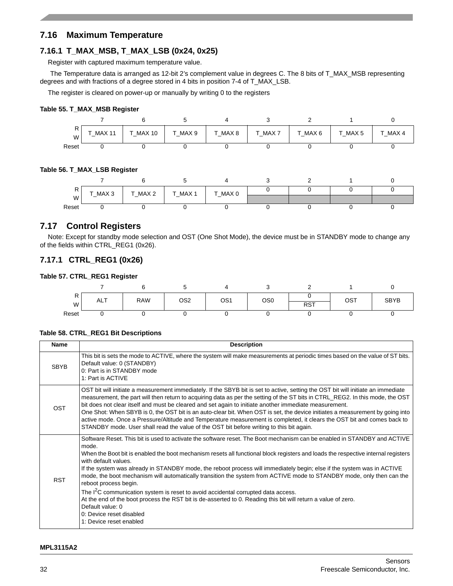# <span id="page-31-0"></span>**7.16 Maximum Temperature**

# **7.16.1 T\_MAX\_MSB, T\_MAX\_LSB (0x24, 0x25)**

Register with captured maximum temperature value.

The Temperature data is arranged as 12-bit 2's complement value in degrees C. The 8 bits of T\_MAX\_MSB representing degrees and with fractions of a degree stored in 4 bits in position 7-4 of T\_MAX\_LSB.

The register is cleared on power-up or manually by writing 0 to the registers

#### **Table 55. T\_MAX\_MSB Register**

| W     | <b>MAX 11</b><br>$-$ | MAX 10 | T MAX 9 | T MAX 8<br>- | $\int$ MAX 7 | T MAX6 | T MAX 5 | T MAX 4 |
|-------|----------------------|--------|---------|--------------|--------------|--------|---------|---------|
| Reset |                      |        |         |              |              |        |         |         |

#### **Table 56. T\_MAX\_LSB Register**

|       | T_MAX 3 | T_MAX 2 | T_MAX 1 | T_MAX 0 |  |  |
|-------|---------|---------|---------|---------|--|--|
| W     |         |         |         |         |  |  |
| Reset |         |         |         |         |  |  |

# <span id="page-31-1"></span>**7.17 Control Registers**

Note: Except for standby mode selection and OST (One Shot Mode), the device must be in STANDBY mode to change any of the fields within CTRL\_REG1 (0x26).

## **7.17.1 CTRL\_REG1 (0x26)**

#### **Table 57. CTRL\_REG1 Register**

| D<br>r<br>W | <b>ALT</b> | <b>RAW</b> | OS <sub>2</sub> | OS1 | OS <sub>0</sub> | <b>RST</b> | OST | <b>SBYB</b> |
|-------------|------------|------------|-----------------|-----|-----------------|------------|-----|-------------|
| Reset       |            |            |                 |     |                 |            |     |             |

#### **Table 58. CTRL\_REG1 Bit Descriptions**

| <b>Name</b> | <b>Description</b>                                                                                                                                                                                                                                                                                                                                                                                                                                                                                                                                                                                                                                                                                                                                                                                                                                                      |
|-------------|-------------------------------------------------------------------------------------------------------------------------------------------------------------------------------------------------------------------------------------------------------------------------------------------------------------------------------------------------------------------------------------------------------------------------------------------------------------------------------------------------------------------------------------------------------------------------------------------------------------------------------------------------------------------------------------------------------------------------------------------------------------------------------------------------------------------------------------------------------------------------|
| <b>SBYB</b> | This bit is sets the mode to ACTIVE, where the system will make measurements at periodic times based on the value of ST bits.<br>Default value: 0 (STANDBY)<br>0: Part is in STANDBY mode<br>1: Part is ACTIVE                                                                                                                                                                                                                                                                                                                                                                                                                                                                                                                                                                                                                                                          |
| OST         | OST bit will initiate a measurement immediately. If the SBYB bit is set to active, setting the OST bit will initiate an immediate<br>measurement, the part will then return to acquiring data as per the setting of the ST bits in CTRL_REG2. In this mode, the OST<br>bit does not clear itself and must be cleared and set again to initiate another immediate measurement.<br>One Shot: When SBYB is 0, the OST bit is an auto-clear bit. When OST is set, the device initiates a measurement by going into<br>active mode. Once a Pressure/Altitude and Temperature measurement is completed, it clears the OST bit and comes back to<br>STANDBY mode. User shall read the value of the OST bit before writing to this bit again.                                                                                                                                   |
| <b>RST</b>  | Software Reset. This bit is used to activate the software reset. The Boot mechanism can be enabled in STANDBY and ACTIVE<br>mode.<br>When the Boot bit is enabled the boot mechanism resets all functional block registers and loads the respective internal registers<br>with default values.<br>If the system was already in STANDBY mode, the reboot process will immediately begin; else if the system was in ACTIVE<br>mode, the boot mechanism will automatically transition the system from ACTIVE mode to STANDBY mode, only then can the<br>reboot process begin.<br>The I <sup>2</sup> C communication system is reset to avoid accidental corrupted data access.<br>At the end of the boot process the RST bit is de-asserted to 0. Reading this bit will return a value of zero.<br>Default value: 0<br>0: Device reset disabled<br>1: Device reset enabled |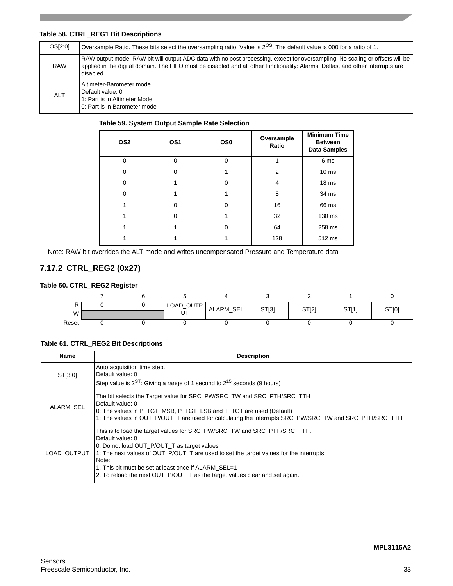## **Table 58. CTRL\_REG1 Bit Descriptions**

| OS[2:0]    | Oversample Ratio. These bits select the oversampling ratio. Value is 2 <sup>OS</sup> . The default value is 000 for a ratio of 1.                                                                                                                                            |
|------------|------------------------------------------------------------------------------------------------------------------------------------------------------------------------------------------------------------------------------------------------------------------------------|
| <b>RAW</b> | RAW output mode. RAW bit will output ADC data with no post processing, except for oversampling. No scaling or offsets will be<br>applied in the digital domain. The FIFO must be disabled and all other functionality: Alarms, Deltas, and other interrupts are<br>disabled. |
| <b>ALT</b> | Altimeter-Barometer mode.<br>Default value: 0<br>1: Part is in Altimeter Mode<br>0: Part is in Barometer mode                                                                                                                                                                |

#### **Table 59. System Output Sample Rate Selection**

| OS <sub>2</sub> | OS <sub>1</sub> | OS <sub>0</sub> | Oversample<br>Ratio | <b>Minimum Time</b><br><b>Between</b><br><b>Data Samples</b> |
|-----------------|-----------------|-----------------|---------------------|--------------------------------------------------------------|
| $\Omega$        | $\Omega$        | $\Omega$        |                     | 6 ms                                                         |
| $\Omega$        | $\Omega$        | 1               | $\overline{2}$      | 10 <sub>ms</sub>                                             |
| $\Omega$        | 1               | $\Omega$        | 4                   | 18 <sub>ms</sub>                                             |
| $\Omega$        |                 |                 | 8                   | 34 ms                                                        |
|                 | $\Omega$        | $\Omega$        | 16                  | 66 ms                                                        |
|                 | $\Omega$        |                 | 32                  | 130 ms                                                       |
|                 |                 | 0               | 64                  | 258 ms                                                       |
|                 |                 |                 | 128                 | 512 ms                                                       |

Note: RAW bit overrides the ALT mode and writes uncompensated Pressure and Temperature data

# **7.17.2 CTRL\_REG2 (0x27)**

#### **Table 60. CTRL\_REG2 Register**

|       |  | LOAD_OUTP | ALARM_SEL | ST[3] | ST[2] | ST[1] | ST[0] |
|-------|--|-----------|-----------|-------|-------|-------|-------|
| W     |  | UT        |           |       |       |       |       |
| Reset |  |           |           |       |       |       |       |

#### **Table 61. CTRL\_REG2 Bit Descriptions**

| Name        | <b>Description</b>                                                                                                                                                                                                                                                                                                                                                                     |
|-------------|----------------------------------------------------------------------------------------------------------------------------------------------------------------------------------------------------------------------------------------------------------------------------------------------------------------------------------------------------------------------------------------|
| ST[3:0]     | Auto acquisition time step.<br>Default value: 0<br>Step value is $2^{ST}$ : Giving a range of 1 second to $2^{15}$ seconds (9 hours)                                                                                                                                                                                                                                                   |
| ALARM SEL   | The bit selects the Target value for SRC PW/SRC TW and SRC PTH/SRC TTH<br>Default value: 0<br>O: The values in P_TGT_MSB, P_TGT_LSB and T_TGT are used (Default)<br>1: The values in OUT_P/OUT_T are used for calculating the interrupts SRC_PW/SRC_TW and SRC_PTH/SRC_TTH.                                                                                                            |
| LOAD OUTPUT | This is to load the target values for SRC_PW/SRC_TW and SRC_PTH/SRC_TTH.<br>Default value: 0<br>0: Do not load OUT_P/OUT_T as target values<br>1: The next values of OUT_P/OUT_T are used to set the target values for the interrupts.<br>Note:<br>1. This bit must be set at least once if ALARM SEL=1<br>2. To reload the next OUT_P/OUT_T as the target values clear and set again. |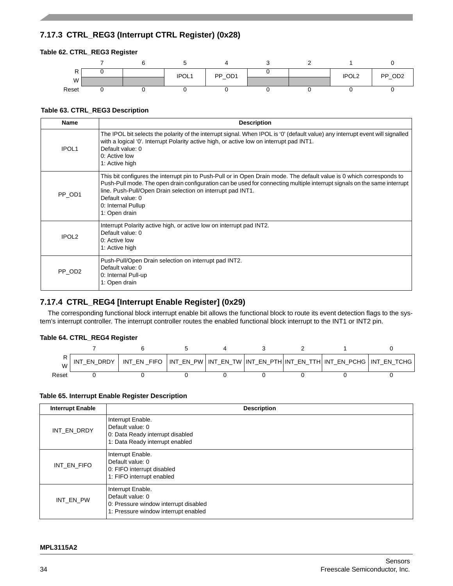# **7.17.3 CTRL\_REG3 (Interrupt CTRL Register) (0x28)**

### **Table 62. CTRL\_REG3 Register**



#### **Table 63. CTRL\_REG3 Description**

| <b>Name</b>        | <b>Description</b>                                                                                                                                                                                                                                                                                                                                                          |
|--------------------|-----------------------------------------------------------------------------------------------------------------------------------------------------------------------------------------------------------------------------------------------------------------------------------------------------------------------------------------------------------------------------|
| IPOL <sub>1</sub>  | The IPOL bit selects the polarity of the interrupt signal. When IPOL is '0' (default value) any interrupt event will signalled<br>with a logical '0'. Interrupt Polarity active high, or active low on interrupt pad INT1.<br>Default value: 0<br>0: Active low<br>1: Active high                                                                                           |
| PP OD1             | This bit configures the interrupt pin to Push-Pull or in Open Drain mode. The default value is 0 which corresponds to<br>Push-Pull mode. The open drain configuration can be used for connecting multiple interrupt signals on the same interrupt<br>line. Push-Pull/Open Drain selection on interrupt pad INT1.<br>Default value: 0<br>0: Internal Pullup<br>1: Open drain |
| <b>IPOL2</b>       | Interrupt Polarity active high, or active low on interrupt pad INT2.<br>Default value: 0<br>0: Active low<br>1: Active high                                                                                                                                                                                                                                                 |
| PP_OD <sub>2</sub> | Push-Pull/Open Drain selection on interrupt pad INT2.<br>Default value: 0<br>0: Internal Pull-up<br>1: Open drain                                                                                                                                                                                                                                                           |

# **7.17.4 CTRL\_REG4 [Interrupt Enable Register] (0x29)**

The corresponding functional block interrupt enable bit allows the functional block to route its event detection flags to the system's interrupt controller. The interrupt controller routes the enabled functional block interrupt to the INT1 or INT2 pin.

#### **Table 64. CTRL\_REG4 Register**



#### **Table 65. Interrupt Enable Register Description**

| <b>Interrupt Enable</b> | <b>Description</b>                                                                                                     |
|-------------------------|------------------------------------------------------------------------------------------------------------------------|
| INT EN DRDY             | Interrupt Enable.<br>Default value: 0<br>0: Data Ready interrupt disabled<br>1: Data Ready interrupt enabled           |
| INT EN FIFO             | Interrupt Enable.<br>Default value: 0<br>0: FIFO interrupt disabled<br>1: FIFO interrupt enabled                       |
| INT EN PW               | Interrupt Enable.<br>Default value: 0<br>0: Pressure window interrupt disabled<br>1: Pressure window interrupt enabled |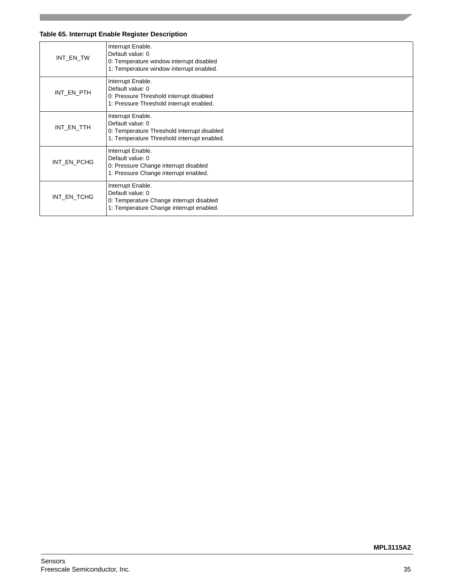## **Table 65. Interrupt Enable Register Description**

| INT_EN_TW   | Interrupt Enable.<br>Default value: 0<br>0: Temperature window interrupt disabled<br>1: Temperature window interrupt enabled.       |
|-------------|-------------------------------------------------------------------------------------------------------------------------------------|
| INT_EN_PTH  | Interrupt Enable.<br>Default value: 0<br>0: Pressure Threshold interrupt disabled<br>1: Pressure Threshold interrupt enabled.       |
| INT_EN_TTH  | Interrupt Enable.<br>Default value: 0<br>0: Temperature Threshold interrupt disabled<br>1: Temperature Threshold interrupt enabled. |
| INT EN PCHG | Interrupt Enable.<br>Default value: 0<br>0: Pressure Change interrupt disabled<br>1: Pressure Change interrupt enabled.             |
| INT_EN_TCHG | Interrupt Enable.<br>Default value: 0<br>0: Temperature Change interrupt disabled<br>1: Temperature Change interrupt enabled.       |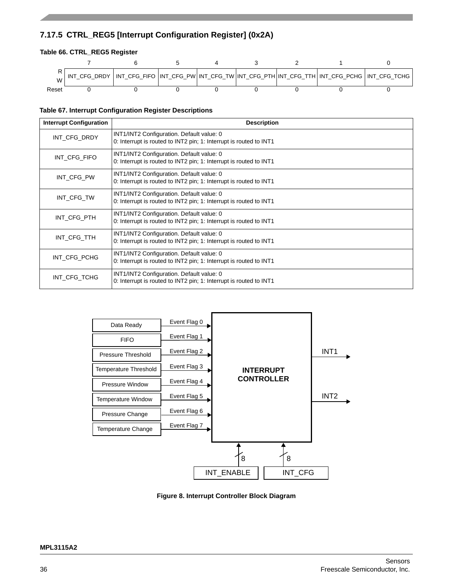# **7.17.5 CTRL\_REG5 [Interrupt Configuration Register] (0x2A)**

## **Table 66. CTRL\_REG5 Register**



#### **Table 67. Interrupt Configuration Register Descriptions**

| <b>Interrupt Configuration</b> | <b>Description</b>                                                                                              |
|--------------------------------|-----------------------------------------------------------------------------------------------------------------|
| INT_CFG_DRDY                   | INT1/INT2 Configuration. Default value: 0<br>0: Interrupt is routed to INT2 pin; 1: Interrupt is routed to INT1 |
| INT CFG FIFO                   | INT1/INT2 Configuration. Default value: 0<br>0: Interrupt is routed to INT2 pin; 1: Interrupt is routed to INT1 |
| INT_CFG_PW                     | INT1/INT2 Configuration. Default value: 0<br>0: Interrupt is routed to INT2 pin; 1: Interrupt is routed to INT1 |
| INT CFG TW                     | INT1/INT2 Configuration. Default value: 0<br>0: Interrupt is routed to INT2 pin; 1: Interrupt is routed to INT1 |
| INT CFG PTH                    | INT1/INT2 Configuration. Default value: 0<br>0: Interrupt is routed to INT2 pin; 1: Interrupt is routed to INT1 |
| INT CFG TTH                    | INT1/INT2 Configuration. Default value: 0<br>0: Interrupt is routed to INT2 pin; 1: Interrupt is routed to INT1 |
| INT_CFG_PCHG                   | INT1/INT2 Configuration. Default value: 0<br>0: Interrupt is routed to INT2 pin; 1: Interrupt is routed to INT1 |
| INT_CFG_TCHG                   | INT1/INT2 Configuration. Default value: 0<br>0: Interrupt is routed to INT2 pin; 1: Interrupt is routed to INT1 |



**Figure 8. Interrupt Controller Block Diagram**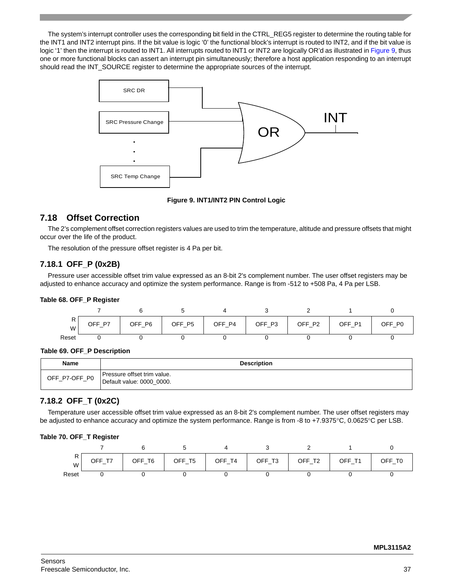The system's interrupt controller uses the corresponding bit field in the CTRL\_REG5 register to determine the routing table for the INT1 and INT2 interrupt pins. If the bit value is logic '0' the functional block's interrupt is routed to INT2, and if the bit value is logic '1' then the interrupt is routed to INT1. All interrupts routed to INT1 or INT2 are logically OR'd as illustrated in Figure 9, thus one or more functional blocks can assert an interrupt pin simultaneously; therefore a host application responding to an interrupt should read the INT\_SOURCE register to determine the appropriate sources of the interrupt.



#### **Figure 9. INT1/INT2 PIN Control Logic**

# <span id="page-36-0"></span>**7.18 Offset Correction**

The 2's complement offset correction registers values are used to trim the temperature, altitude and pressure offsets that might occur over the life of the product.

The resolution of the pressure offset register is 4 Pa per bit.

## **7.18.1 OFF\_P (0x2B)**

Pressure user accessible offset trim value expressed as an 8-bit 2's complement number. The user offset registers may be adjusted to enhance accuracy and optimize the system performance. Range is from -512 to +508 Pa, 4 Pa per LSB.

#### **Table 68. OFF\_P Register**

| $\cdot$<br>W | <b>P7</b><br>ገFF - | OFF_P6 | OFF_P5 | OFF_P4 | OFF_P3 | OFF_P2 | OFF_P1 | OFF_P0 |
|--------------|--------------------|--------|--------|--------|--------|--------|--------|--------|
| Reset        |                    |        |        |        |        |        |        |        |

#### **Table 69. OFF\_P Description**

| Name          | <b>Description</b>                                       |
|---------------|----------------------------------------------------------|
| OFF_P7-OFF_P0 | Pressure offset trim value.<br>Default value: 0000_0000. |

# **7.18.2 OFF\_T (0x2C)**

Temperature user accessible offset trim value expressed as an 8-bit 2's complement number. The user offset registers may be adjusted to enhance accuracy and optimize the system performance. Range is from -8 to +7.9375°C, 0.0625°C per LSB.

#### **Table 70. OFF\_T Register**

| W     | OFF.<br>$\mathbf{r}$<br>$\overline{\phantom{0}}$ | OFF_<br>T6 | OFF_T5 | T <sub>4</sub><br>OFF<br>$\overline{\phantom{0}}$ | OFF_T3 | OFF_T2 | T <sub>1</sub><br>OFF.<br>$\qquad \qquad$ | $\_$ TO<br>ገFF - |
|-------|--------------------------------------------------|------------|--------|---------------------------------------------------|--------|--------|-------------------------------------------|------------------|
| Reset |                                                  |            |        |                                                   |        |        |                                           |                  |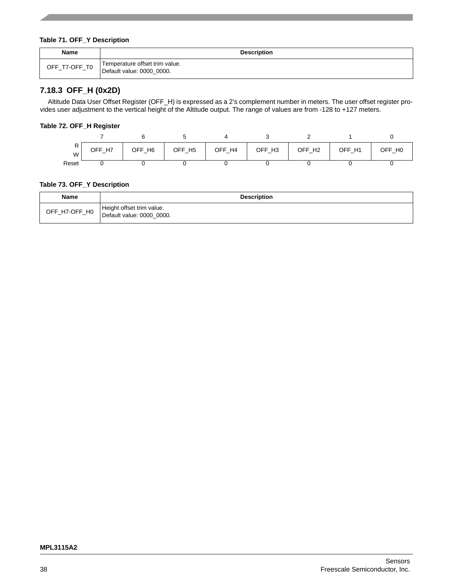#### **Table 71. OFF\_Y Description**

| Name          | <b>Description</b>                                          |
|---------------|-------------------------------------------------------------|
| OFF_T7-OFF_T0 | Temperature offset trim value.<br>Default value: 0000 0000. |

# **7.18.3 OFF\_H (0x2D)**

Altitude Data User Offset Register (OFF\_H) is expressed as a 2's complement number in meters. The user offset register provides user adjustment to the vertical height of the Altitude output. The range of values are from -128 to +127 meters.

## **Table 72. OFF\_H Register**

| ''<br>W | H <sub>7</sub><br>OFF<br>$-$ | OFF_H6 | OFF_H5 | OFF_H4 | OFF_H3 | OFF_H <sub>2</sub> | OFF_H1 | OFF H0 |
|---------|------------------------------|--------|--------|--------|--------|--------------------|--------|--------|
| Reset   |                              |        |        |        |        |                    |        |        |

#### **Table 73. OFF\_Y Description**

| Name          | <b>Description</b>                                     |
|---------------|--------------------------------------------------------|
| OFF_H7-OFF_H0 | Height offset trim value.<br>Default value: 0000 0000. |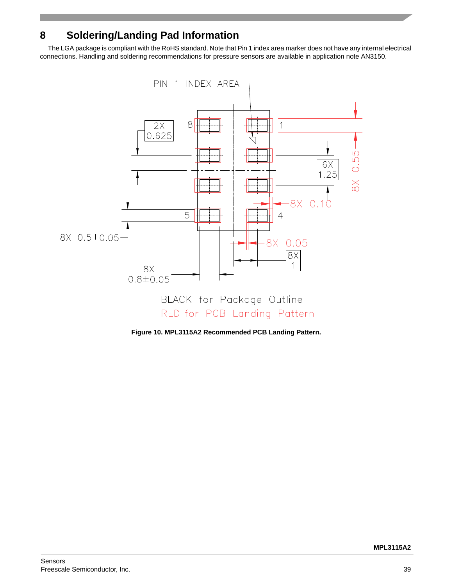# <span id="page-38-0"></span>**8 Soldering/Landing Pad Information**

The LGA package is compliant with the RoHS standard. Note that Pin 1 index area marker does not have any internal electrical connections. Handling and soldering recommendations for pressure sensors are available in application note AN3150.



**Figure 10. MPL3115A2 Recommended PCB Landing Pattern.**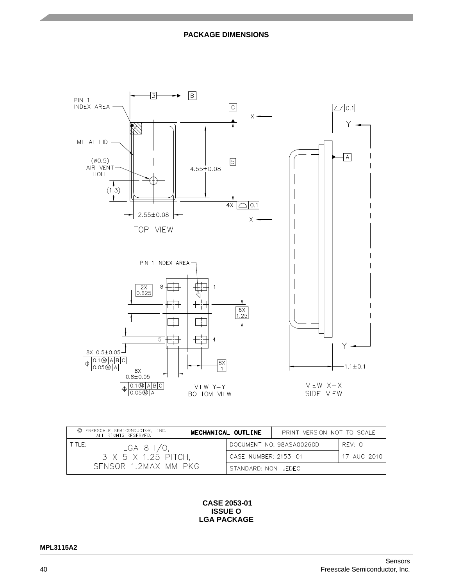

| © FREESCALE SEMICONDUCTOR, INC.<br>ALL RIGHTS RESERVED. |  | MECHANICAL OUTLINE   | PRINT VERSION NOT TO SCALE |             |
|---------------------------------------------------------|--|----------------------|----------------------------|-------------|
| TITI E:<br>LGA 8 $1/0$ ,<br>3 X 5 X 1.25 PITCH,         |  |                      | DOCUMENT NO: 98ASA00260D   | RFV: O      |
|                                                         |  | CASE NUMBER: 2153-01 |                            | 17 AUG 2010 |
| SENSOR 1.2MAX MM PKG                                    |  | STANDARD: NON-JEDEC  |                            |             |

 **CASE 2053-01 ISSUE O LGA PACKAGE**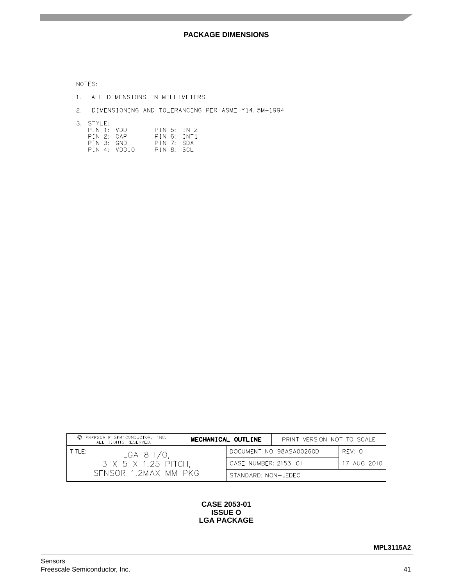NOTES:

- 1. ALL DIMENSIONS IN MILLIMETERS.
- 2. DIMENSIONING AND TOLERANCING PER ASME Y14.5M-1994

3. STYLE:

| PIN 1: VDD |              |            | PIN 5: INT2 |
|------------|--------------|------------|-------------|
| PIN 2: CAP |              |            | PIN 6. INT1 |
| PIN 3: GND |              | PIN 7: SDA |             |
|            | PIN 4: VDDIO | PIN 8: SCL |             |

| C FREESCALE SEMICONDUCTOR, INC.<br>ALL RIGHTS RESERVED.                 |  | MECHANICAL OUTLINE   | PRINT VERSION NOT TO SCALE |             |
|-------------------------------------------------------------------------|--|----------------------|----------------------------|-------------|
| TITI E:<br>LGA 8 $1/0$ ,<br>3 X 5 X 1.25 PITCH,<br>SENSOR 1.2MAX MM PKG |  |                      | DOCUMENT NO: 98ASA00260D   | RFV O       |
|                                                                         |  | CASE NUMBER: 2153-01 |                            | 17 AUG 2010 |
|                                                                         |  | STANDARD: NON-JEDEC  |                            |             |

#### **CASE 2053-01 ISSUE O LGA PACKAGE**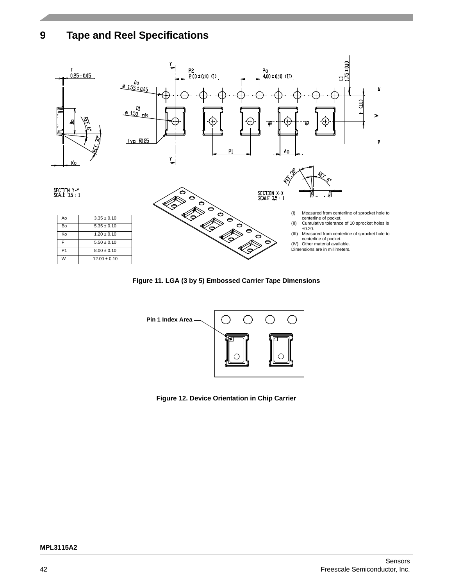# <span id="page-41-0"></span>**9 Tape and Reel Specifications**



**Figure 11. LGA (3 by 5) Embossed Carrier Tape Dimensions**



**Figure 12. Device Orientation in Chip Carrier**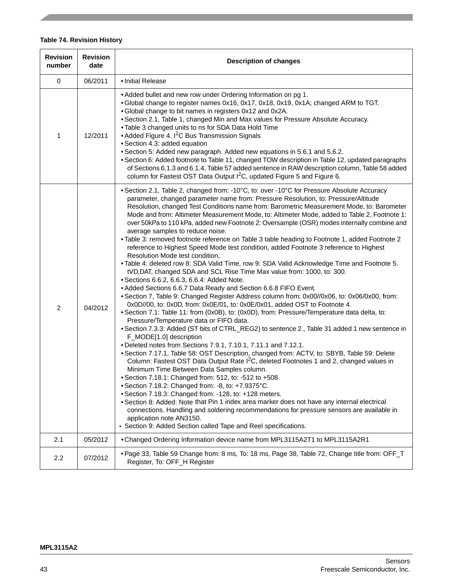# **Table 74. Revision History**

| <b>Revision</b><br>number | <b>Revision</b><br>date | <b>Description of changes</b>                                                                                                                                                                                                                                                                                                                                                                                                                                                                                                                                                                                                                                                                                                                                                                                                                                                                                                                                                                                                                                                                                                                                                                                                                                                                                                                                                                                                                                                                                                                                                                                                                                                                                                                                                                                                                                                                                                                                                                                                                                                                                                                                                                                                                                                          |
|---------------------------|-------------------------|----------------------------------------------------------------------------------------------------------------------------------------------------------------------------------------------------------------------------------------------------------------------------------------------------------------------------------------------------------------------------------------------------------------------------------------------------------------------------------------------------------------------------------------------------------------------------------------------------------------------------------------------------------------------------------------------------------------------------------------------------------------------------------------------------------------------------------------------------------------------------------------------------------------------------------------------------------------------------------------------------------------------------------------------------------------------------------------------------------------------------------------------------------------------------------------------------------------------------------------------------------------------------------------------------------------------------------------------------------------------------------------------------------------------------------------------------------------------------------------------------------------------------------------------------------------------------------------------------------------------------------------------------------------------------------------------------------------------------------------------------------------------------------------------------------------------------------------------------------------------------------------------------------------------------------------------------------------------------------------------------------------------------------------------------------------------------------------------------------------------------------------------------------------------------------------------------------------------------------------------------------------------------------------|
| $\pmb{0}$                 | 06/2011                 | · Initial Release                                                                                                                                                                                                                                                                                                                                                                                                                                                                                                                                                                                                                                                                                                                                                                                                                                                                                                                                                                                                                                                                                                                                                                                                                                                                                                                                                                                                                                                                                                                                                                                                                                                                                                                                                                                                                                                                                                                                                                                                                                                                                                                                                                                                                                                                      |
| 1                         | 12/2011                 | • Added bullet and new row under Ordering Information on pg 1.<br>. Global change to register names 0x16, 0x17, 0x18, 0x19, 0x1A; changed ARM to TGT.<br>. Global change to bit names in registers 0x12 and 0x2A.<br>. Section 2.1, Table 1, changed Min and Max values for Pressure Absolute Accuracy.<br>. Table 3 changed units to ns for SDA Data Hold Time<br>• Added Figure 4. I <sup>2</sup> C Bus Transmission Signals<br>· Section 4.3: added equation<br>• Section 5: Added new paragraph. Added new equations in 5.6.1 and 5.6.2.<br>• Section 6: Added footnote to Table 11, changed TOW description in Table 12, updated paragraphs<br>of Sections 6.1.3 and 6.1.4, Table 57 added sentence in RAW description column, Table 58 added<br>column for Fastest OST Data Output I <sup>2</sup> C, updated Figure 5 and Figure 6.                                                                                                                                                                                                                                                                                                                                                                                                                                                                                                                                                                                                                                                                                                                                                                                                                                                                                                                                                                                                                                                                                                                                                                                                                                                                                                                                                                                                                                              |
| $\overline{c}$            | 04/2012                 | • Section 2.1, Table 2, changed from: -10°C, to: over -10°C for Pressure Absolute Accuracy<br>parameter, changed parameter name from: Pressure Resolution, to: Pressure/Altitude<br>Resolution, changed Test Conditions name from: Barometric Measurement Mode, to: Barometer<br>Mode and from: Altimeter Measurement Mode, to: Altimeter Mode, added to Table 2, Footnote 1:<br>over 50kPa to 110 kPa, added new Footnote 2: Oversample (OSR) modes internally combine and<br>average samples to reduce noise.<br>• Table 3: removed footnote reference on Table 3 table heading to Footnote 1, added Footnote 2<br>reference to Highest Speed Mode test condition, added Footnote 3 reference to Highest<br>Resolution Mode test condition,<br>. Table 4: deleted row 8: SDA Valid Time, row 9: SDA Valid Acknowledge Time and Footnote 5.<br>tVD, DAT, changed SDA and SCL Rise Time Max value from: 1000, to: 300.<br>• Sections 6.6.2, 6.6.3, 6.6.4: Added Note.<br>• Added Sections 6.6.7 Data Ready and Section 6.6.8 FIFO Event.<br>. Section 7, Table 9: Changed Register Address column from: 0x00//0x06, to: 0x06/0x00, from:<br>0x0D//00, to: 0x0D, from: 0x0E/01, to: 0x0E/0x01, added OST to Footnote 4.<br>• Section 7.1: Table 11: from (0x0B), to: (0x0D), from: Pressure/Temperature data delta, to:<br>Pressure/Temperature data or FIFO data.<br>• Section 7.3.3: Added (ST bits of CTRL_REG2) to sentence 2., Table 31 added 1 new sentence in<br>F_MODE[1.0] description<br>.Deleted notes from Sections 7.9.1, 7.10.1, 7.11.1 and 7.12.1<br>. Section 7.17.1, Table 58: OST Description, changed from: ACTV, to: SBYB, Table 59: Delete<br>Column: Fastest OST Data Output Rate I <sup>2</sup> C, deleted Footnotes 1 and 2, changed values in<br>Minimum Time Between Data Samples column.<br>• Section 7.18.1: Changed from: 512, to: -512 to +508<br>• Section 7.18.2: Changed from: -8, to: +7.9375°C.<br>· Section 7.18.3: Changed from: -128, to: +128 meters.<br>• Section 8: Added: Note that Pin 1 index area marker does not have any internal electrical<br>connections. Handling and soldering recommendations for pressure sensors are available in<br>application note AN3150.<br>• Section 9: Added Section called Tape and Reel specifications. |
| 2.1                       | 05/2012                 | • Changed Ordering Information device name from MPL3115A2T1 to MPL3115A2R1                                                                                                                                                                                                                                                                                                                                                                                                                                                                                                                                                                                                                                                                                                                                                                                                                                                                                                                                                                                                                                                                                                                                                                                                                                                                                                                                                                                                                                                                                                                                                                                                                                                                                                                                                                                                                                                                                                                                                                                                                                                                                                                                                                                                             |
| 2.2                       | 07/2012                 | . Page 33, Table 59 Change from: 8 ms, To: 18 ms, Page 38, Table 72, Change title from: OFF_T<br>Register, To: OFF_H Register                                                                                                                                                                                                                                                                                                                                                                                                                                                                                                                                                                                                                                                                                                                                                                                                                                                                                                                                                                                                                                                                                                                                                                                                                                                                                                                                                                                                                                                                                                                                                                                                                                                                                                                                                                                                                                                                                                                                                                                                                                                                                                                                                          |